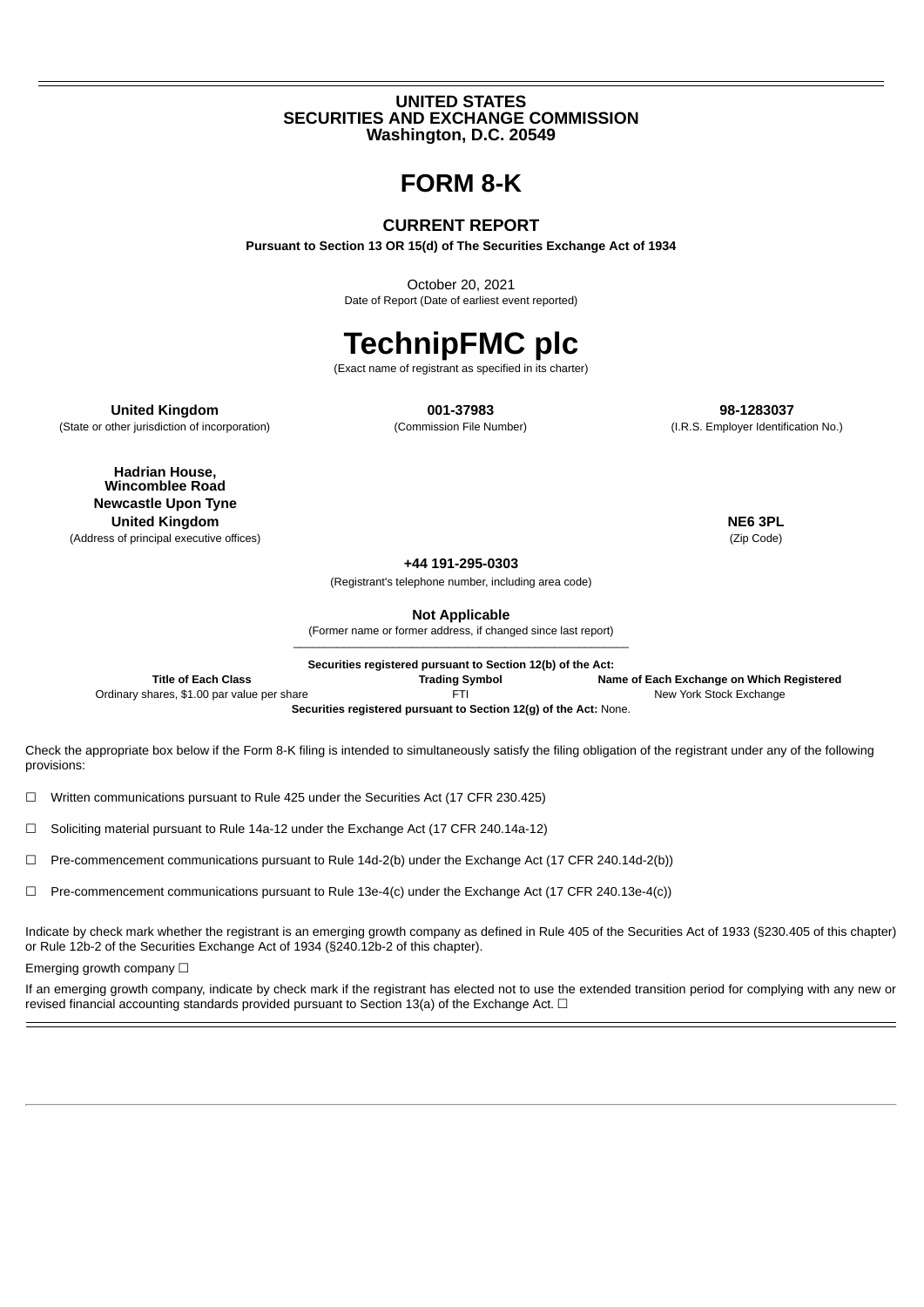## **UNITED STATES SECURITIES AND EXCHANGE COMMISSION Washington, D.C. 20549**

## **FORM 8-K**

## **CURRENT REPORT**

**Pursuant to Section 13 OR 15(d) of The Securities Exchange Act of 1934**

October 20, 2021 Date of Report (Date of earliest event reported)

# **TechnipFMC plc**

(Exact name of registrant as specified in its charter)

**United Kingdom 001-37983 98-1283037**

(State or other jurisdiction of incorporation) (Commission File Number) (I.R.S. Employer Identification No.)

**Hadrian House, Wincomblee Road Newcastle Upon Tyne United Kingdom NE6 3PL**

(Address of principal executive offices) (Zip Code)

**+44 191-295-0303**

(Registrant's telephone number, including area code)

**Not Applicable**

(Former name or former address, if changed since last report)  $\mathcal{L}_\mathcal{L} = \{ \mathcal{L}_\mathcal{L} = \{ \mathcal{L}_\mathcal{L} = \{ \mathcal{L}_\mathcal{L} = \{ \mathcal{L}_\mathcal{L} = \{ \mathcal{L}_\mathcal{L} = \{ \mathcal{L}_\mathcal{L} = \{ \mathcal{L}_\mathcal{L} = \{ \mathcal{L}_\mathcal{L} = \{ \mathcal{L}_\mathcal{L} = \{ \mathcal{L}_\mathcal{L} = \{ \mathcal{L}_\mathcal{L} = \{ \mathcal{L}_\mathcal{L} = \{ \mathcal{L}_\mathcal{L} = \{ \mathcal{L}_\mathcal{$ 

**Securities registered pursuant to Section 12(b) of the Act:**

**Title of Each Class Trading Symbol Name of Each Exchange on Which Registered** Ordinary shares, \$1.00 par value per share FTI FTI FTI New York Stock Exchange **Securities registered pursuant to Section 12(g) of the Act:** None.

Check the appropriate box below if the Form 8-K filing is intended to simultaneously satisfy the filing obligation of the registrant under any of the following provisions:

 $\Box$  Written communications pursuant to Rule 425 under the Securities Act (17 CFR 230.425)

☐ Soliciting material pursuant to Rule 14a-12 under the Exchange Act (17 CFR 240.14a-12)

☐ Pre-commencement communications pursuant to Rule 14d-2(b) under the Exchange Act (17 CFR 240.14d-2(b))

☐ Pre-commencement communications pursuant to Rule 13e-4(c) under the Exchange Act (17 CFR 240.13e-4(c))

Indicate by check mark whether the registrant is an emerging growth company as defined in Rule 405 of the Securities Act of 1933 (§230.405 of this chapter) or Rule 12b-2 of the Securities Exchange Act of 1934 (§240.12b-2 of this chapter).

Emerging growth company □

If an emerging growth company, indicate by check mark if the registrant has elected not to use the extended transition period for complying with any new or revised financial accounting standards provided pursuant to Section 13(a) of the Exchange Act.  $\Box$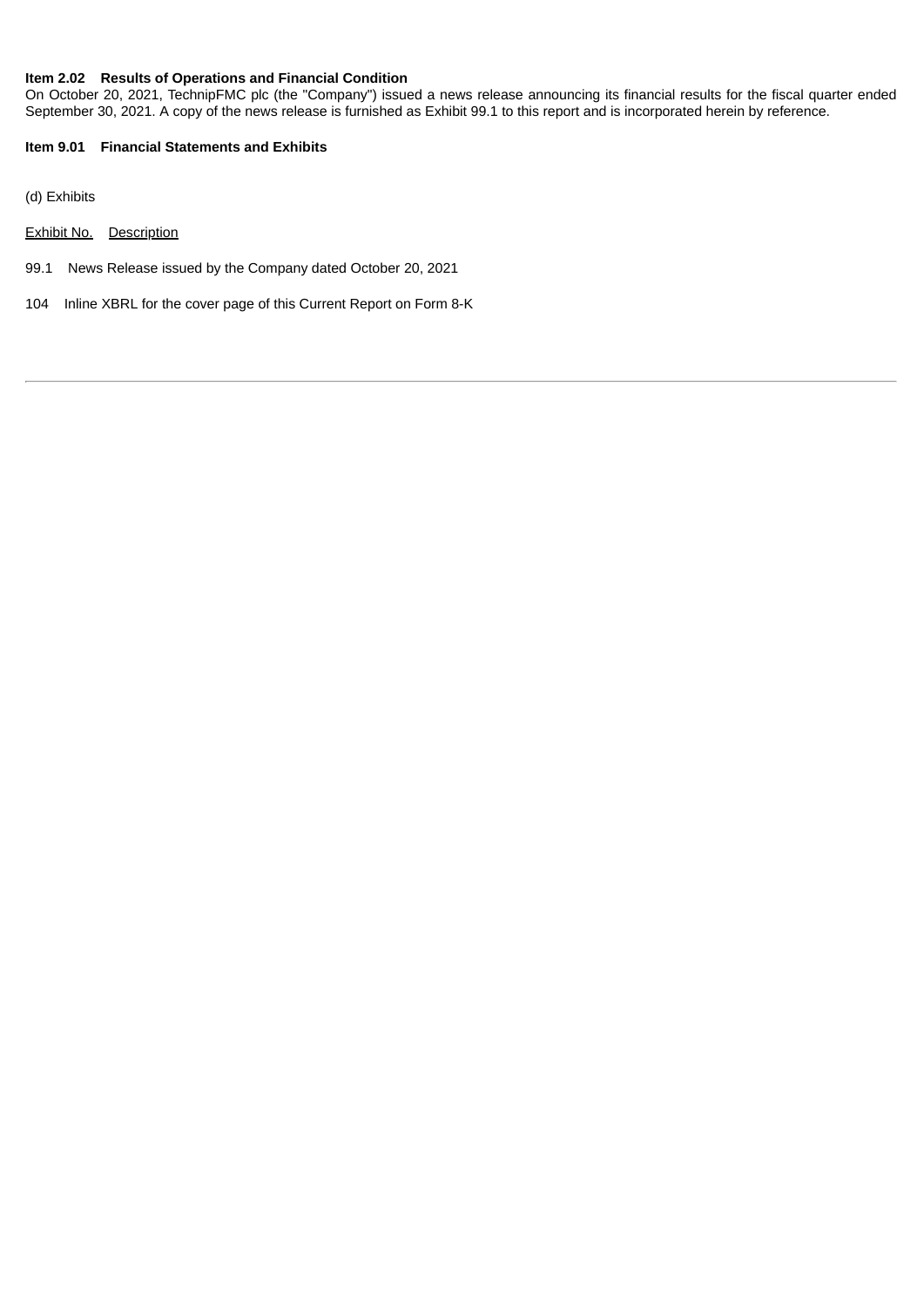### **Item 2.02 Results of Operations and Financial Condition**

On October 20, 2021, TechnipFMC plc (the "Company") issued a news release announcing its financial results for the fiscal quarter ended September 30, 2021. A copy of the news release is furnished as Exhibit 99.1 to this report and is incorporated herein by reference.

## **Item 9.01 Financial Statements and Exhibits**

(d) Exhibits

- Exhibit No. Description
- 99.1 News Release issued by the Company dated October 20, 2021
- 104 Inline XBRL for the cover page of this Current Report on Form 8-K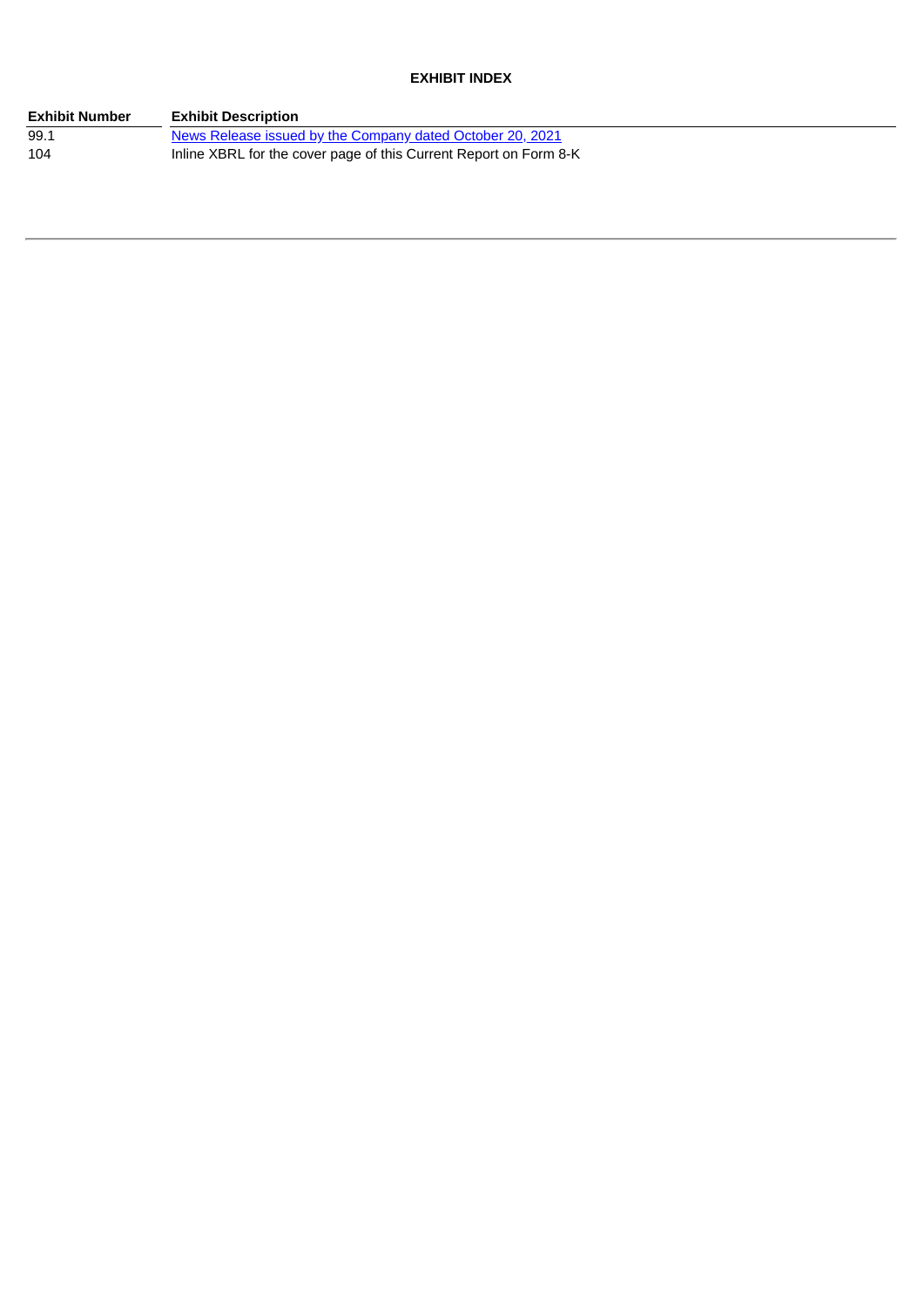## **EXHIBIT INDEX**

| <b>Exhibit Number</b> | <b>Exhibit Description</b>                                        |
|-----------------------|-------------------------------------------------------------------|
| 99.1                  | News Release issued by the Company dated October 20, 2021         |
| 104                   | Inline XBRL for the cover page of this Current Report on Form 8-K |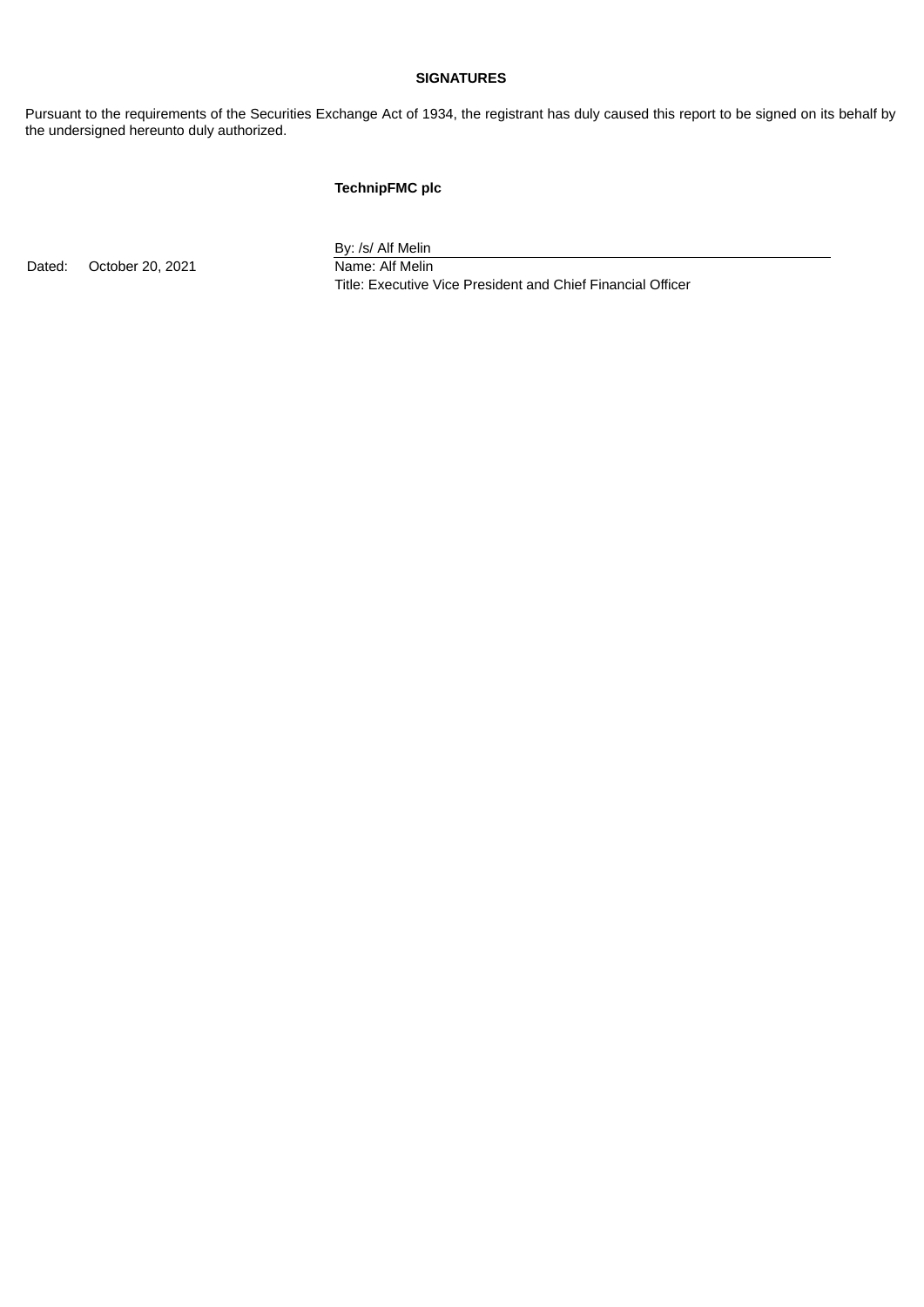## **SIGNATURES**

Pursuant to the requirements of the Securities Exchange Act of 1934, the registrant has duly caused this report to be signed on its behalf by the undersigned hereunto duly authorized.

## **TechnipFMC plc**

Dated: October 20, 2021 Name: Alf Melin

By: /s/ Alf Melin

Title: Executive Vice President and Chief Financial Officer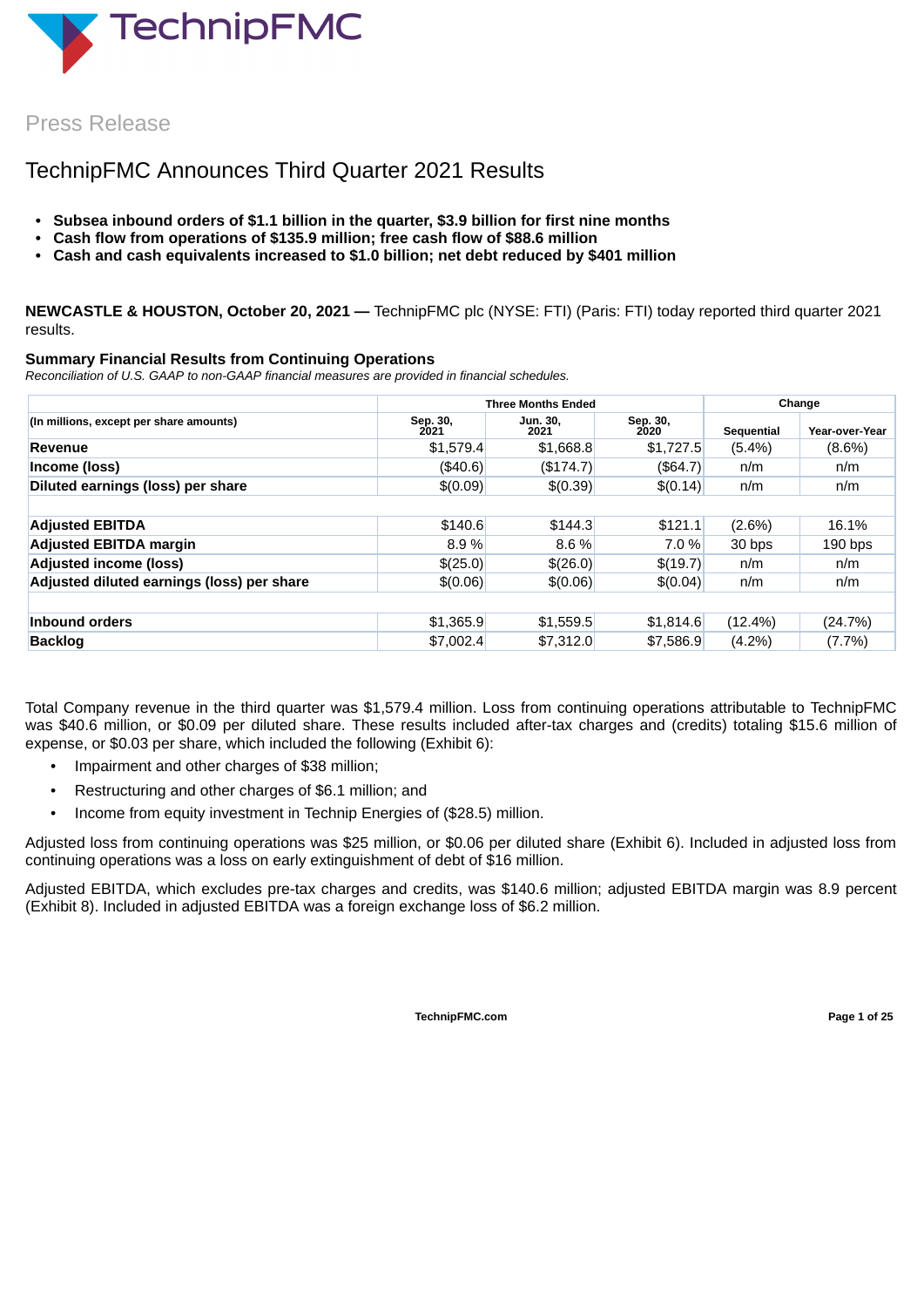<span id="page-4-0"></span>

Press Release

## TechnipFMC Announces Third Quarter 2021 Results

- **• Subsea inbound orders of \$1.1 billion in the quarter, \$3.9 billion for first nine months**
- **• Cash flow from operations of \$135.9 million; free cash flow of \$88.6 million**
- **• Cash and cash equivalents increased to \$1.0 billion; net debt reduced by \$401 million**

**NEWCASTLE & HOUSTON, October 20, 2021 —** TechnipFMC plc (NYSE: FTI) (Paris: FTI) today reported third quarter 2021 results.

## **Summary Financial Results from Continuing Operations**

*Reconciliation of U.S. GAAP to non-GAAP financial measures are provided in financial schedules.*

|                                            |                  | <b>Three Months Ended</b> | Change           |            |                |  |
|--------------------------------------------|------------------|---------------------------|------------------|------------|----------------|--|
| (In millions, except per share amounts)    | Sep. 30,<br>2021 | Jun. 30,<br>2021          | Sep. 30,<br>2020 | Sequential | Year-over-Year |  |
| Revenue                                    | \$1,579.4        | \$1,668.8                 | \$1,727.5        | $(5.4\%)$  | $(8.6\%)$      |  |
| Income (loss)                              | (\$40.6)         | (\$174.7)                 | (\$64.7)         | n/m        | n/m            |  |
| Diluted earnings (loss) per share          | \$(0.09)         | \$(0.39)                  | \$(0.14)         | n/m        | n/m            |  |
|                                            |                  |                           |                  |            |                |  |
| <b>Adjusted EBITDA</b>                     | \$140.6          | \$144.3                   | \$121.1          | $(2.6\%)$  | 16.1%          |  |
| <b>Adjusted EBITDA margin</b>              | 8.9%             | 8.6%                      | 7.0 %            | 30 bps     | $190$ bps      |  |
| <b>Adjusted income (loss)</b>              | \$(25.0)         | \$(26.0)                  | \$(19.7)         | n/m        | n/m            |  |
| Adjusted diluted earnings (loss) per share | \$(0.06)         | \$(0.06)                  | \$(0.04)         | n/m        | n/m            |  |
|                                            |                  |                           |                  |            |                |  |
| Inbound orders                             | \$1,365.9        | \$1,559.5                 | \$1,814.6        | $(12.4\%)$ | (24.7%)        |  |
| <b>Backlog</b>                             | \$7,002.4        | \$7,312.0                 | \$7,586.9        | $(4.2\%)$  | $(7.7\%)$      |  |

Total Company revenue in the third quarter was \$1,579.4 million. Loss from continuing operations attributable to TechnipFMC was \$40.6 million, or \$0.09 per diluted share. These results included after-tax charges and (credits) totaling \$15.6 million of expense, or \$0.03 per share, which included the following (Exhibit 6):

- Impairment and other charges of \$38 million;
- Restructuring and other charges of \$6.1 million; and
- Income from equity investment in Technip Energies of (\$28.5) million.

Adjusted loss from continuing operations was \$25 million, or \$0.06 per diluted share (Exhibit 6). Included in adjusted loss from continuing operations was a loss on early extinguishment of debt of \$16 million.

Adjusted EBITDA, which excludes pre-tax charges and credits, was \$140.6 million; adjusted EBITDA margin was 8.9 percent (Exhibit 8). Included in adjusted EBITDA was a foreign exchange loss of \$6.2 million.

**TechnipFMC.com Page 1 of [25](#page-27-0)**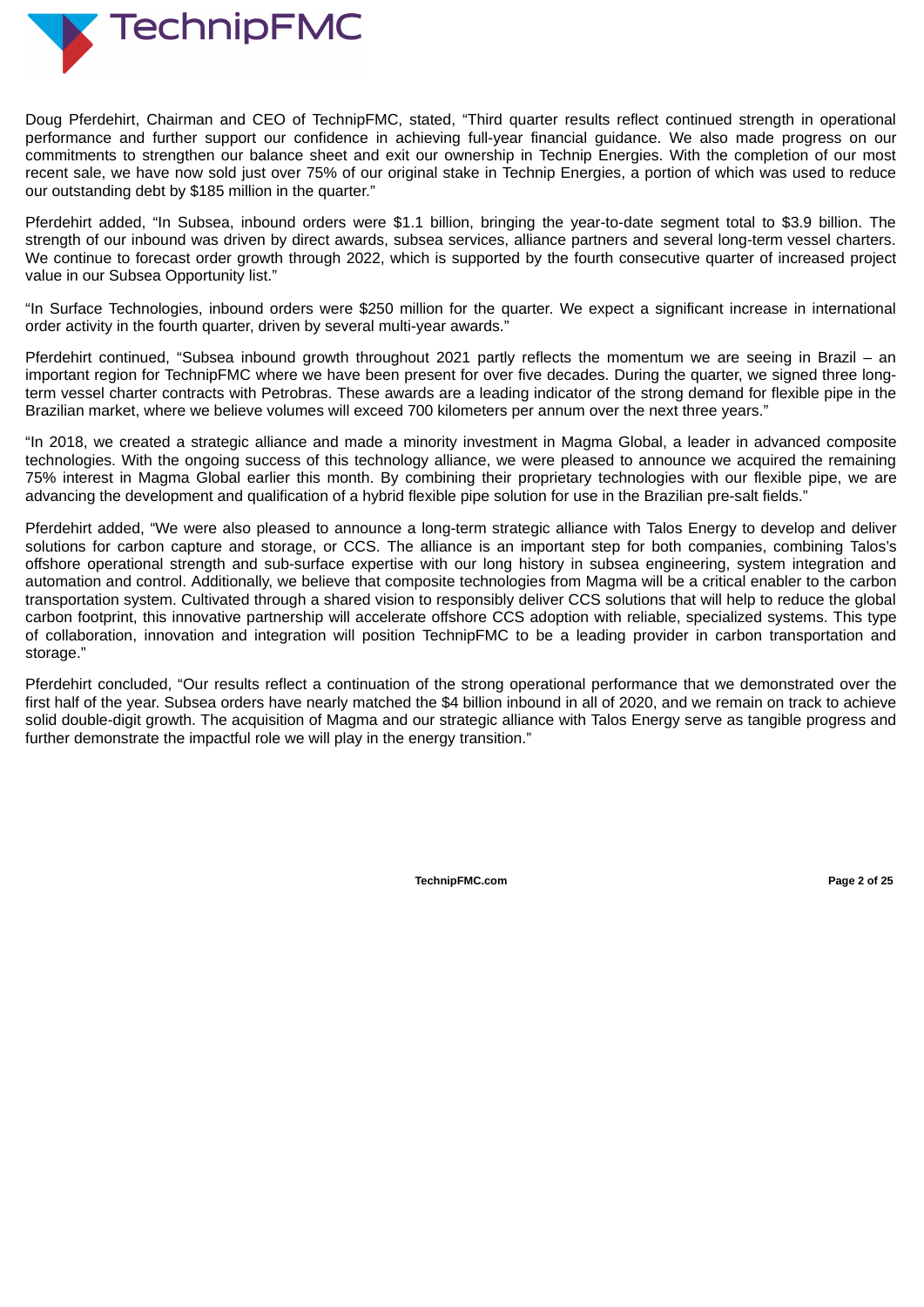

Doug Pferdehirt, Chairman and CEO of TechnipFMC, stated, "Third quarter results reflect continued strength in operational performance and further support our confidence in achieving full-year financial guidance. We also made progress on our commitments to strengthen our balance sheet and exit our ownership in Technip Energies. With the completion of our most recent sale, we have now sold just over 75% of our original stake in Technip Energies, a portion of which was used to reduce our outstanding debt by \$185 million in the quarter."

Pferdehirt added, "In Subsea, inbound orders were \$1.1 billion, bringing the year-to-date segment total to \$3.9 billion. The strength of our inbound was driven by direct awards, subsea services, alliance partners and several long-term vessel charters. We continue to forecast order growth through 2022, which is supported by the fourth consecutive quarter of increased project value in our Subsea Opportunity list."

"In Surface Technologies, inbound orders were \$250 million for the quarter. We expect a significant increase in international order activity in the fourth quarter, driven by several multi-year awards."

Pferdehirt continued, "Subsea inbound growth throughout 2021 partly reflects the momentum we are seeing in Brazil – an important region for TechnipFMC where we have been present for over five decades. During the quarter, we signed three longterm vessel charter contracts with Petrobras. These awards are a leading indicator of the strong demand for flexible pipe in the Brazilian market, where we believe volumes will exceed 700 kilometers per annum over the next three years."

"In 2018, we created a strategic alliance and made a minority investment in Magma Global, a leader in advanced composite technologies. With the ongoing success of this technology alliance, we were pleased to announce we acquired the remaining 75% interest in Magma Global earlier this month. By combining their proprietary technologies with our flexible pipe, we are advancing the development and qualification of a hybrid flexible pipe solution for use in the Brazilian pre-salt fields."

Pferdehirt added, "We were also pleased to announce a long-term strategic alliance with Talos Energy to develop and deliver solutions for carbon capture and storage, or CCS. The alliance is an important step for both companies, combining Talos's offshore operational strength and sub-surface expertise with our long history in subsea engineering, system integration and automation and control. Additionally, we believe that composite technologies from Magma will be a critical enabler to the carbon transportation system. Cultivated through a shared vision to responsibly deliver CCS solutions that will help to reduce the global carbon footprint, this innovative partnership will accelerate offshore CCS adoption with reliable, specialized systems. This type of collaboration, innovation and integration will position TechnipFMC to be a leading provider in carbon transportation and storage."

Pferdehirt concluded, "Our results reflect a continuation of the strong operational performance that we demonstrated over the first half of the year. Subsea orders have nearly matched the \$4 billion inbound in all of 2020, and we remain on track to achieve solid double-digit growth. The acquisition of Magma and our strategic alliance with Talos Energy serve as tangible progress and further demonstrate the impactful role we will play in the energy transition."

**TechnipFMC.com Page 2 of [25](#page-27-0)**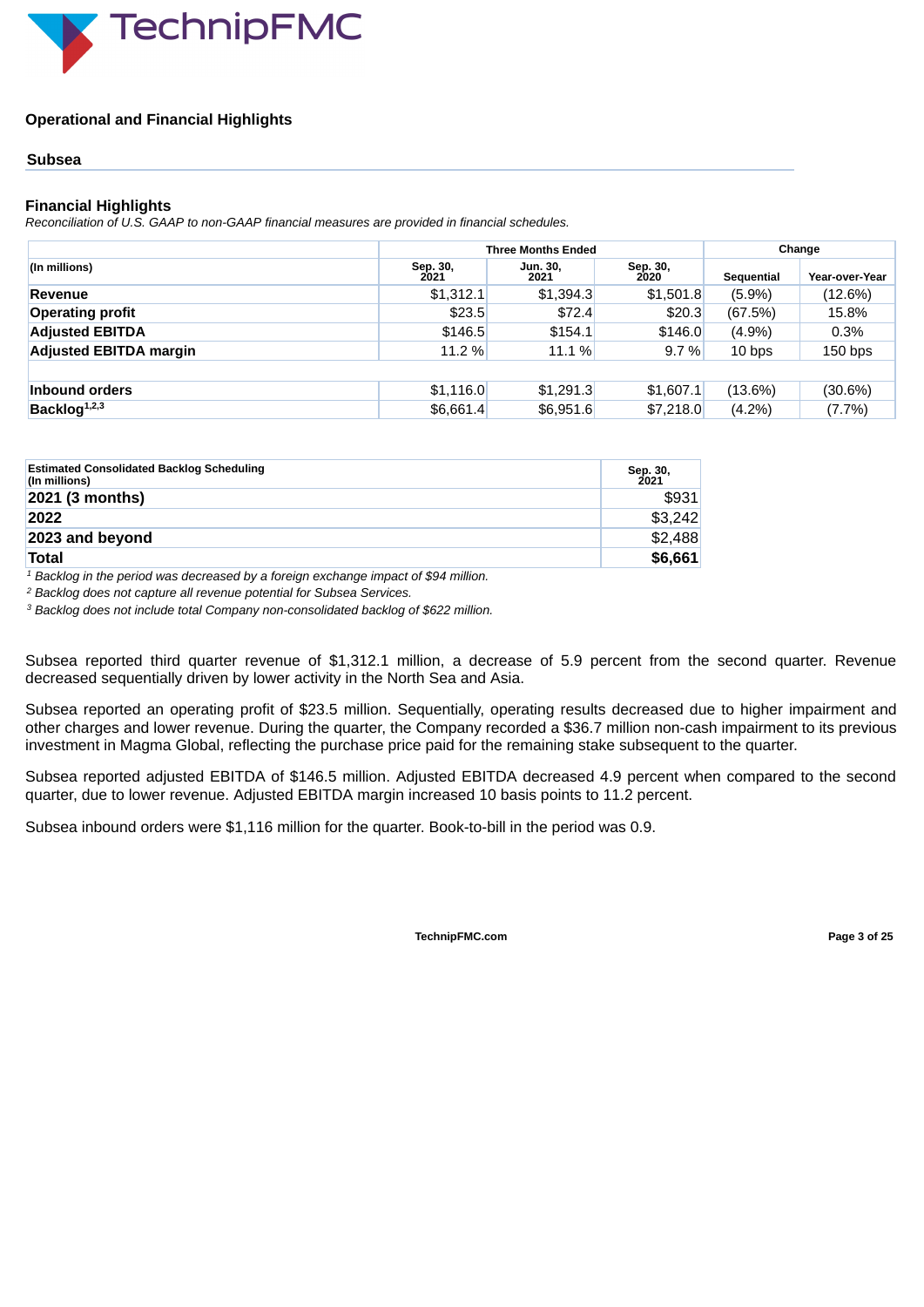

## **Operational and Financial Highlights**

## **Subsea**

## **Financial Highlights**

*Reconciliation of U.S. GAAP to non-GAAP financial measures are provided in financial schedules.*

|                               |                  | <b>Three Months Ended</b> | Change           |            |                |  |
|-------------------------------|------------------|---------------------------|------------------|------------|----------------|--|
| (In millions)                 | Sep. 30,<br>2021 | Jun. 30,<br>2021          | Sep. 30,<br>2020 | Sequential | Year-over-Year |  |
| Revenue                       | \$1,312.1        | \$1,394.3                 | \$1,501.8        | $(5.9\%)$  | (12.6%)        |  |
| <b>Operating profit</b>       | \$23.5           | \$72.4                    | \$20.3           | (67.5%)    | 15.8%          |  |
| <b>Adjusted EBITDA</b>        | \$146.5          | \$154.1                   | \$146.0          | $(4.9\%)$  | $0.3\%$        |  |
| <b>Adjusted EBITDA margin</b> | 11.2 %           | 11.1 %                    | 9.7%             | 10 bps     | $150$ bps      |  |
|                               |                  |                           |                  |            |                |  |
| Inbound orders                | \$1.116.0        | \$1,291.3                 | \$1,607.1        | $(13.6\%)$ | $(30.6\%)$     |  |
| Backlog <sup>1,2,3</sup>      | \$6,661.4        | \$6,951.6                 | \$7,218.0        | $(4.2\%)$  | $(7.7\%)$      |  |

| <b>Estimated Consolidated Backlog Scheduling</b><br>(In millions) | Sep. 30,<br>2021 |
|-------------------------------------------------------------------|------------------|
| $2021$ (3 months)                                                 | \$931            |
| 2022                                                              | \$3,242          |
| 2023 and beyond                                                   | \$2,488          |
| <b>Total</b>                                                      | \$6,661          |

 *Backlog in the period was decreased by a foreign exchange impact of \$94 million. 1*

*Backlog does not capture all revenue potential for Subsea Services. 2*

*Backlog does not include total Company non-consolidated backlog of \$622 million. 3*

Subsea reported third quarter revenue of \$1,312.1 million, a decrease of 5.9 percent from the second quarter. Revenue decreased sequentially driven by lower activity in the North Sea and Asia.

Subsea reported an operating profit of \$23.5 million. Sequentially, operating results decreased due to higher impairment and other charges and lower revenue. During the quarter, the Company recorded a \$36.7 million non-cash impairment to its previous investment in Magma Global, reflecting the purchase price paid for the remaining stake subsequent to the quarter.

Subsea reported adjusted EBITDA of \$146.5 million. Adjusted EBITDA decreased 4.9 percent when compared to the second quarter, due to lower revenue. Adjusted EBITDA margin increased 10 basis points to 11.2 percent.

Subsea inbound orders were \$1,116 million for the quarter. Book-to-bill in the period was 0.9.

**TechnipFMC.com Page 3 of [25](#page-27-0)**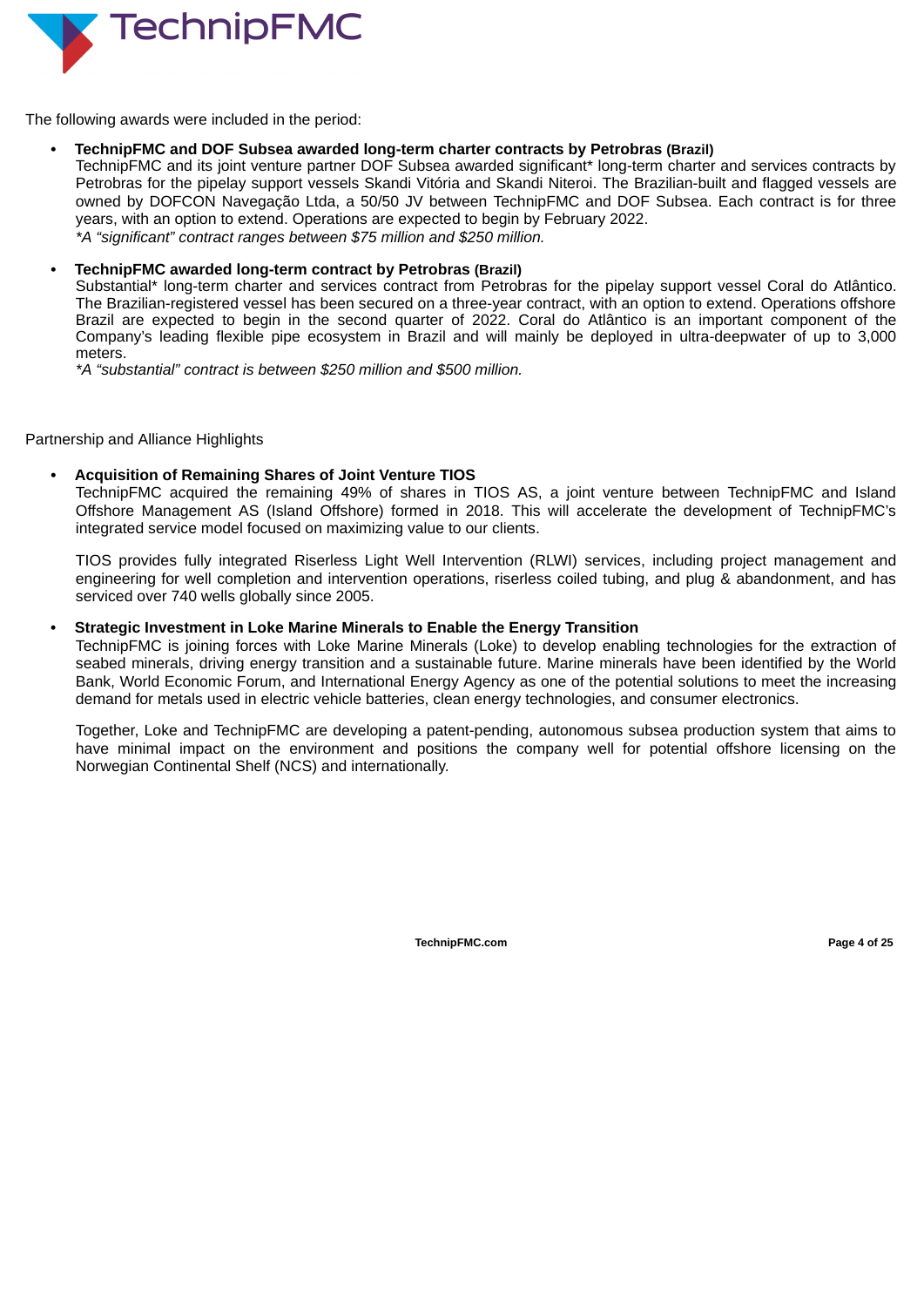

The following awards were included in the period:

## *•* **TechnipFMC and DOF Subsea awarded long-term charter contracts by Petrobras (Brazil)**

TechnipFMC and its joint venture partner DOF Subsea awarded significant\* long-term charter and services contracts by Petrobras for the pipelay support vessels Skandi Vitória and Skandi Niteroi. The Brazilian-built and flagged vessels are owned by DOFCON Navegação Ltda, a 50/50 JV between TechnipFMC and DOF Subsea. Each contract is for three years, with an option to extend. Operations are expected to begin by February 2022. *\*A "significant" contract ranges between \$75 million and \$250 million.*

## *•* **TechnipFMC awarded long-term contract by Petrobras (Brazil)**

Substantial\* long-term charter and services contract from Petrobras for the pipelay support vessel Coral do Atlântico. The Brazilian-registered vessel has been secured on a three-year contract, with an option to extend. Operations offshore Brazil are expected to begin in the second quarter of 2022. Coral do Atlântico is an important component of the Company's leading flexible pipe ecosystem in Brazil and will mainly be deployed in ultra-deepwater of up to 3,000 meters.

*\*A "substantial" contract is between \$250 million and \$500 million.*

## Partnership and Alliance Highlights

## *•* **Acquisition of Remaining Shares of Joint Venture TIOS**

TechnipFMC acquired the remaining 49% of shares in TIOS AS, a joint venture between TechnipFMC and Island Offshore Management AS (Island Offshore) formed in 2018. This will accelerate the development of TechnipFMC's integrated service model focused on maximizing value to our clients.

TIOS provides fully integrated Riserless Light Well Intervention (RLWI) services, including project management and engineering for well completion and intervention operations, riserless coiled tubing, and plug & abandonment, and has serviced over 740 wells globally since 2005.

## **• Strategic Investment in Loke Marine Minerals to Enable the Energy Transition**

TechnipFMC is joining forces with Loke Marine Minerals (Loke) to develop enabling technologies for the extraction of seabed minerals, driving energy transition and a sustainable future. Marine minerals have been identified by the World Bank, World Economic Forum, and International Energy Agency as one of the potential solutions to meet the increasing demand for metals used in electric vehicle batteries, clean energy technologies, and consumer electronics.

Together, Loke and TechnipFMC are developing a patent-pending, autonomous subsea production system that aims to have minimal impact on the environment and positions the company well for potential offshore licensing on the Norwegian Continental Shelf (NCS) and internationally.

**TechnipFMC.com Page 4 of [25](#page-27-0)**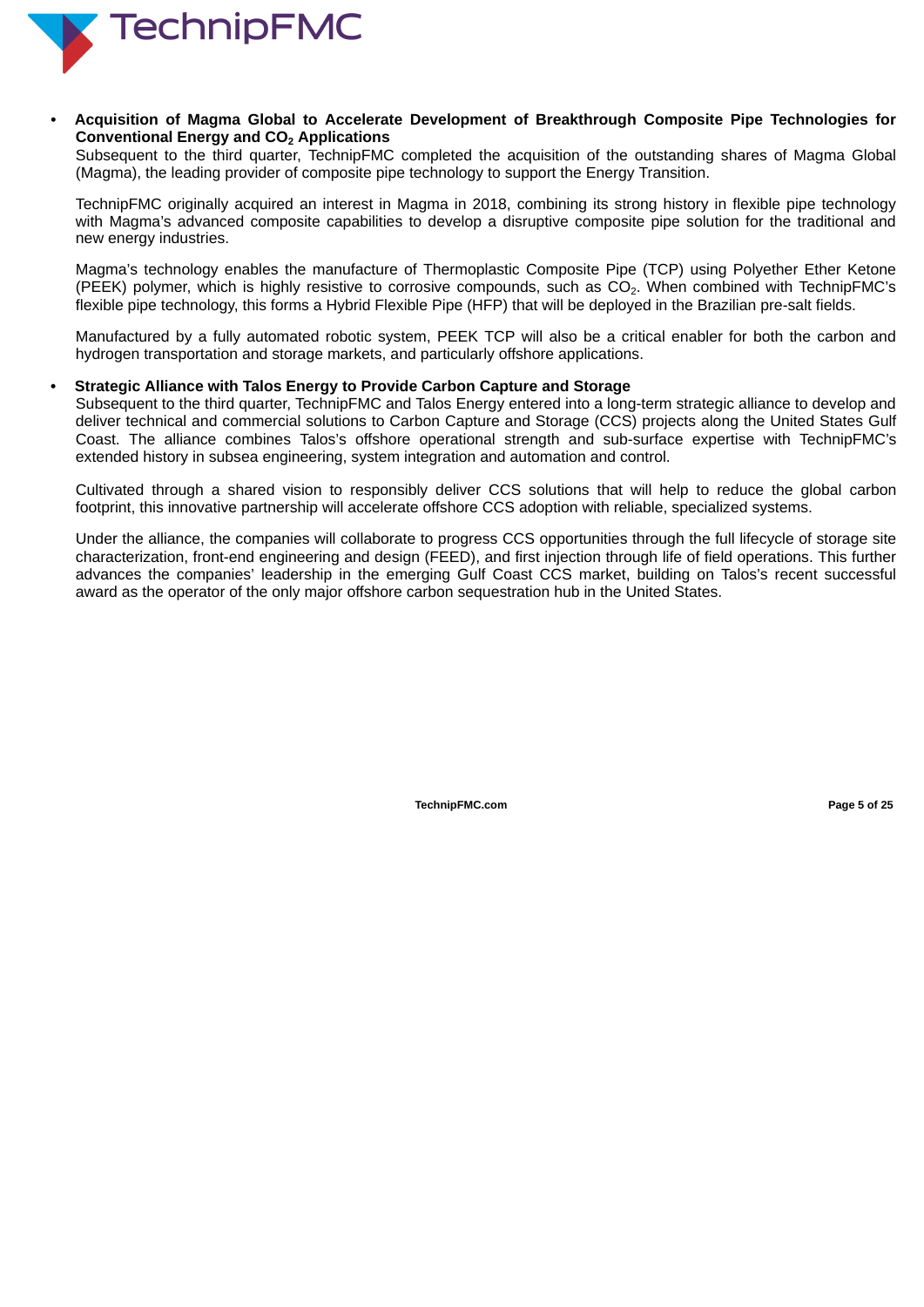

*•* **Acquisition of Magma Global to Accelerate Development of Breakthrough Composite Pipe Technologies for Conventional Energy and CO Applications 2**

Subsequent to the third quarter, TechnipFMC completed the acquisition of the outstanding shares of Magma Global (Magma), the leading provider of composite pipe technology to support the Energy Transition.

TechnipFMC originally acquired an interest in Magma in 2018, combining its strong history in flexible pipe technology with Magma's advanced composite capabilities to develop a disruptive composite pipe solution for the traditional and new energy industries.

Magma's technology enables the manufacture of Thermoplastic Composite Pipe (TCP) using Polyether Ether Ketone (PEEK) polymer, which is highly resistive to corrosive compounds, such as  $CO<sub>2</sub>$ . When combined with TechnipFMC's flexible pipe technology, this forms a Hybrid Flexible Pipe (HFP) that will be deployed in the Brazilian pre-salt fields.

Manufactured by a fully automated robotic system, PEEK TCP will also be a critical enabler for both the carbon and hydrogen transportation and storage markets, and particularly offshore applications.

## **• Strategic Alliance with Talos Energy to Provide Carbon Capture and Storage**

Subsequent to the third quarter, TechnipFMC and Talos Energy entered into a long-term strategic alliance to develop and deliver technical and commercial solutions to Carbon Capture and Storage (CCS) projects along the United States Gulf Coast. The alliance combines Talos's offshore operational strength and sub-surface expertise with TechnipFMC's extended history in subsea engineering, system integration and automation and control.

Cultivated through a shared vision to responsibly deliver CCS solutions that will help to reduce the global carbon footprint, this innovative partnership will accelerate offshore CCS adoption with reliable, specialized systems.

Under the alliance, the companies will collaborate to progress CCS opportunities through the full lifecycle of storage site characterization, front-end engineering and design (FEED), and first injection through life of field operations. This further advances the companies' leadership in the emerging Gulf Coast CCS market, building on Talos's recent successful award as the operator of the only major offshore carbon sequestration hub in the United States.

**TechnipFMC.com Page 5 of [25](#page-27-0)**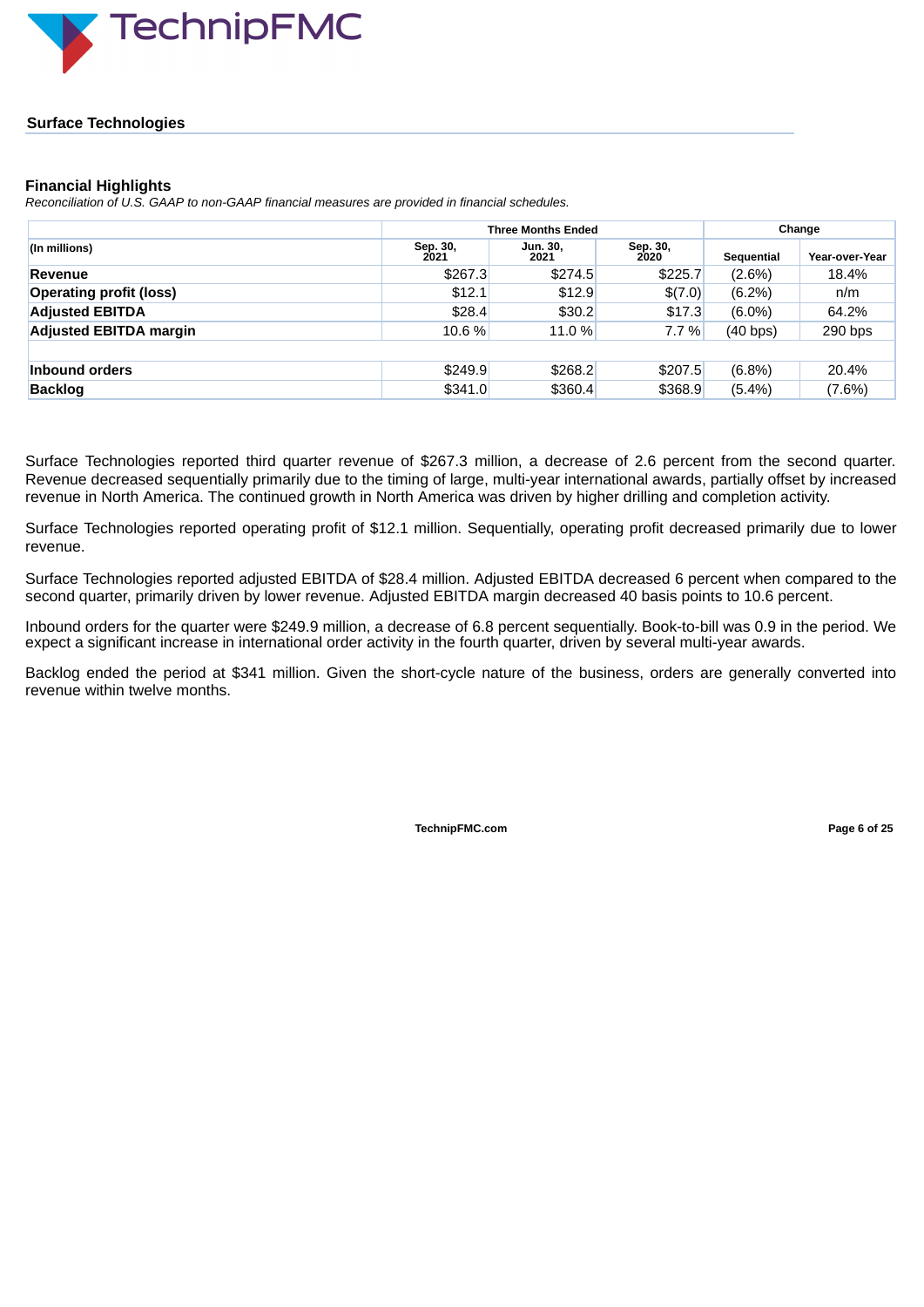

## **Surface Technologies**

## **Financial Highlights**

*Reconciliation of U.S. GAAP to non-GAAP financial measures are provided in financial schedules.*

|                                |                  | <b>Three Months Ended</b> | Change           |            |                       |  |
|--------------------------------|------------------|---------------------------|------------------|------------|-----------------------|--|
| (In millions)                  | Sep. 30,<br>2021 | Jun. 30,<br>2021          | Sep. 30,<br>2020 | Sequential | <b>Year-over-Year</b> |  |
| <b>Revenue</b>                 | \$267.3          | \$274.5                   | \$225.7          | $(2.6\%)$  | 18.4%                 |  |
| <b>Operating profit (loss)</b> | \$12.1           | \$12.9                    | \$(7.0)          | $(6.2\%)$  | n/m                   |  |
| <b>Adjusted EBITDA</b>         | \$28.4           | \$30.2                    | \$17.3           | $(6.0\%)$  | 64.2%                 |  |
| <b>Adjusted EBITDA margin</b>  | 10.6%            | 11.0 %                    | 7.7 %            | (40 bps)   | $290$ bps             |  |
|                                |                  |                           |                  |            |                       |  |
| Inbound orders                 | \$249.9          | \$268.2                   | \$207.5          | $(6.8\%)$  | 20.4%                 |  |
| <b>Backlog</b>                 | \$341.0          | \$360.4                   | \$368.9          | $(5.4\%)$  | $(7.6\%)$             |  |

Surface Technologies reported third quarter revenue of \$267.3 million, a decrease of 2.6 percent from the second quarter. Revenue decreased sequentially primarily due to the timing of large, multi-year international awards, partially offset by increased revenue in North America. The continued growth in North America was driven by higher drilling and completion activity.

Surface Technologies reported operating profit of \$12.1 million. Sequentially, operating profit decreased primarily due to lower revenue.

Surface Technologies reported adjusted EBITDA of \$28.4 million. Adjusted EBITDA decreased 6 percent when compared to the second quarter, primarily driven by lower revenue. Adjusted EBITDA margin decreased 40 basis points to 10.6 percent.

Inbound orders for the quarter were \$249.9 million, a decrease of 6.8 percent sequentially. Book-to-bill was 0.9 in the period. We expect a significant increase in international order activity in the fourth quarter, driven by several multi-year awards.

Backlog ended the period at \$341 million. Given the short-cycle nature of the business, orders are generally converted into revenue within twelve months.

**TechnipFMC.com Page 6 of [25](#page-27-0)**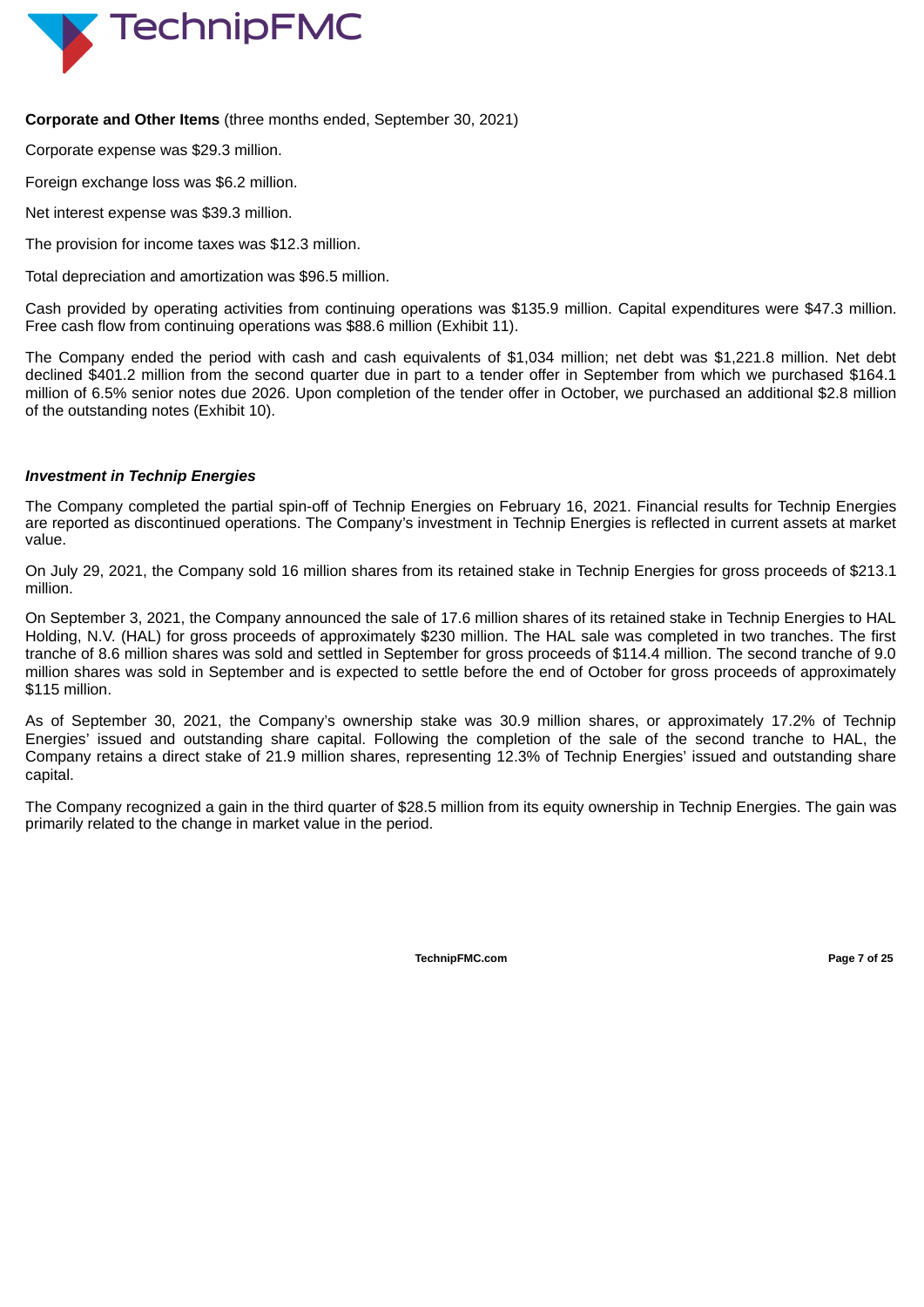

## **Corporate and Other Items** (three months ended, September 30, 2021)

Corporate expense was \$29.3 million.

Foreign exchange loss was \$6.2 million.

Net interest expense was \$39.3 million.

The provision for income taxes was \$12.3 million.

Total depreciation and amortization was \$96.5 million.

Cash provided by operating activities from continuing operations was \$135.9 million. Capital expenditures were \$47.3 million. Free cash flow from continuing operations was \$88.6 million (Exhibit 11).

The Company ended the period with cash and cash equivalents of \$1,034 million; net debt was \$1,221.8 million. Net debt declined \$401.2 million from the second quarter due in part to a tender offer in September from which we purchased \$164.1 million of 6.5% senior notes due 2026. Upon completion of the tender offer in October, we purchased an additional \$2.8 million of the outstanding notes (Exhibit 10).

## *Investment in Technip Energies*

The Company completed the partial spin-off of Technip Energies on February 16, 2021. Financial results for Technip Energies are reported as discontinued operations. The Company's investment in Technip Energies is reflected in current assets at market value.

On July 29, 2021, the Company sold 16 million shares from its retained stake in Technip Energies for gross proceeds of \$213.1 million.

On September 3, 2021, the Company announced the sale of 17.6 million shares of its retained stake in Technip Energies to HAL Holding, N.V. (HAL) for gross proceeds of approximately \$230 million. The HAL sale was completed in two tranches. The first tranche of 8.6 million shares was sold and settled in September for gross proceeds of \$114.4 million. The second tranche of 9.0 million shares was sold in September and is expected to settle before the end of October for gross proceeds of approximately \$115 million.

As of September 30, 2021, the Company's ownership stake was 30.9 million shares, or approximately 17.2% of Technip Energies' issued and outstanding share capital. Following the completion of the sale of the second tranche to HAL, the Company retains a direct stake of 21.9 million shares, representing 12.3% of Technip Energies' issued and outstanding share capital.

The Company recognized a gain in the third quarter of \$28.5 million from its equity ownership in Technip Energies. The gain was primarily related to the change in market value in the period.

**TechnipFMC.com Page 7 of Page Page Page Page Page Page Page Page Page Page Page Page Page Page Page Page Page Page Page Page Page Page Page Page Page Page Page P**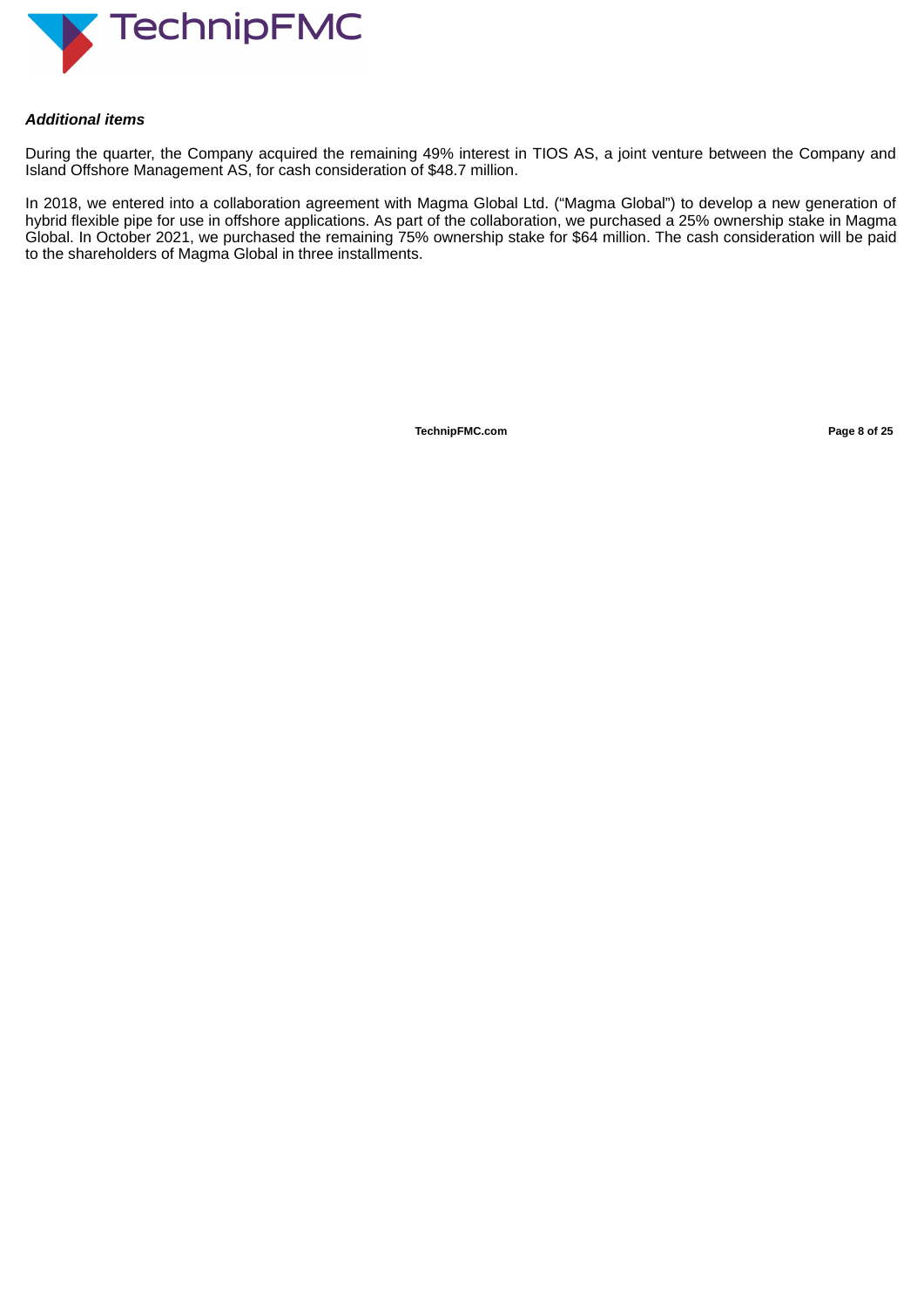

## *Additional items*

During the quarter, the Company acquired the remaining 49% interest in TIOS AS, a joint venture between the Company and Island Offshore Management AS, for cash consideration of \$48.7 million.

In 2018, we entered into a collaboration agreement with Magma Global Ltd. ("Magma Global") to develop a new generation of hybrid flexible pipe for use in offshore applications. As part of the collaboration, we purchased a 25% ownership stake in Magma Global. In October 2021, we purchased the remaining 75% ownership stake for \$64 million. The cash consideration will be paid to the shareholders of Magma Global in three installments.

**TechnipFMC.com Page 8 of [25](#page-27-0)**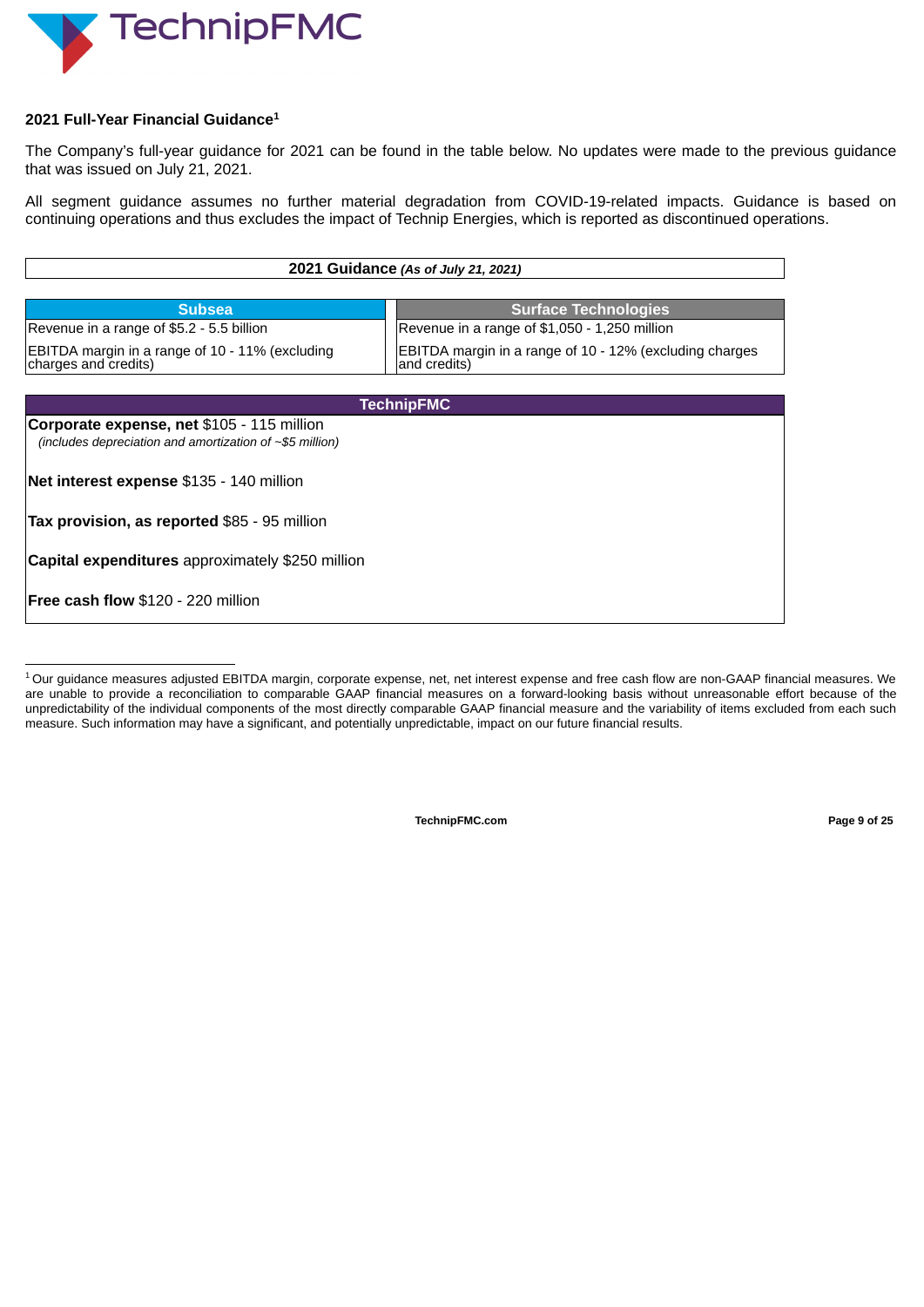

## **2021 Full-Year Financial Guidance 1**

The Company's full-year guidance for 2021 can be found in the table below. No updates were made to the previous guidance that was issued on July 21, 2021.

All segment guidance assumes no further material degradation from COVID-19-related impacts. Guidance is based on continuing operations and thus excludes the impact of Technip Energies, which is reported as discontinued operations.

| 2021 Guidance (As of July 21, 2021)                                                                                                                |                                               |  |  |  |  |  |  |  |  |
|----------------------------------------------------------------------------------------------------------------------------------------------------|-----------------------------------------------|--|--|--|--|--|--|--|--|
|                                                                                                                                                    |                                               |  |  |  |  |  |  |  |  |
| <b>Subsea</b>                                                                                                                                      | <b>Surface Technologies</b>                   |  |  |  |  |  |  |  |  |
| Revenue in a range of \$5.2 - 5.5 billion                                                                                                          | Revenue in a range of \$1,050 - 1,250 million |  |  |  |  |  |  |  |  |
| EBITDA margin in a range of 10 - 11% (excluding<br>EBITDA margin in a range of 10 - 12% (excluding charges<br>charges and credits)<br>and credits) |                                               |  |  |  |  |  |  |  |  |
|                                                                                                                                                    |                                               |  |  |  |  |  |  |  |  |
|                                                                                                                                                    | <b>TechnipFMC</b>                             |  |  |  |  |  |  |  |  |
| Corporate expense, net \$105 - 115 million<br>(includes depreciation and amortization of $\sim$ \$5 million)                                       |                                               |  |  |  |  |  |  |  |  |
| Net interest expense \$135 - 140 million                                                                                                           |                                               |  |  |  |  |  |  |  |  |
| <b>Tax provision, as reported \$85 - 95 million</b>                                                                                                |                                               |  |  |  |  |  |  |  |  |
| <b>Capital expenditures</b> approximately \$250 million                                                                                            |                                               |  |  |  |  |  |  |  |  |
| <b>IFree cash flow \$120 - 220 million</b>                                                                                                         |                                               |  |  |  |  |  |  |  |  |

 $^1$ Our guidance measures adjusted EBITDA margin, corporate expense, net, net interest expense and free cash flow are non-GAAP financial measures. We are unable to provide a reconciliation to comparable GAAP financial measures on a forward-looking basis without unreasonable effort because of the unpredictability of the individual components of the most directly comparable GAAP financial measure and the variability of items excluded from each such measure. Such information may have a significant, and potentially unpredictable, impact on our future financial results.

**TechnipFMC.com Page 9 of [25](#page-27-0)**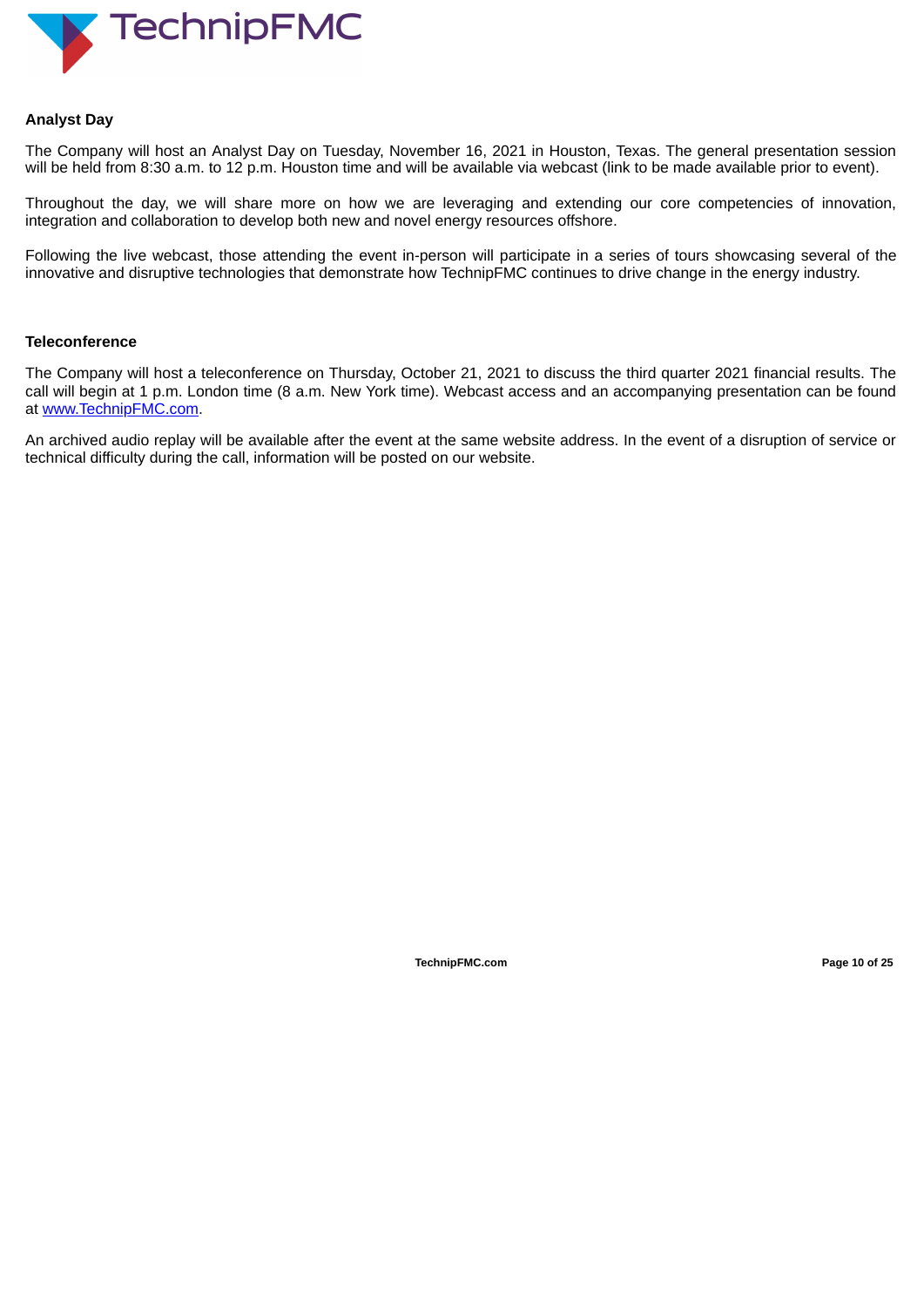

## **Analyst Day**

The Company will host an Analyst Day on Tuesday, November 16, 2021 in Houston, Texas. The general presentation session will be held from 8:30 a.m. to 12 p.m. Houston time and will be available via webcast (link to be made available prior to event).

Throughout the day, we will share more on how we are leveraging and extending our core competencies of innovation, integration and collaboration to develop both new and novel energy resources offshore.

Following the live webcast, those attending the event in-person will participate in a series of tours showcasing several of the innovative and disruptive technologies that demonstrate how TechnipFMC continues to drive change in the energy industry.

### **Teleconference**

The Company will host a teleconference on Thursday, October 21, 2021 to discuss the third quarter 2021 financial results. The call will begin at 1 p.m. London time (8 a.m. New York time). Webcast access and an accompanying presentation can be found at www.TechnipFMC.com.

An archived audio replay will be available after the event at the same website address. In the event of a disruption of service or technical difficulty during the call, information will be posted on our website.

**TechnipFMC.com Page 10 of [25](#page-27-0)**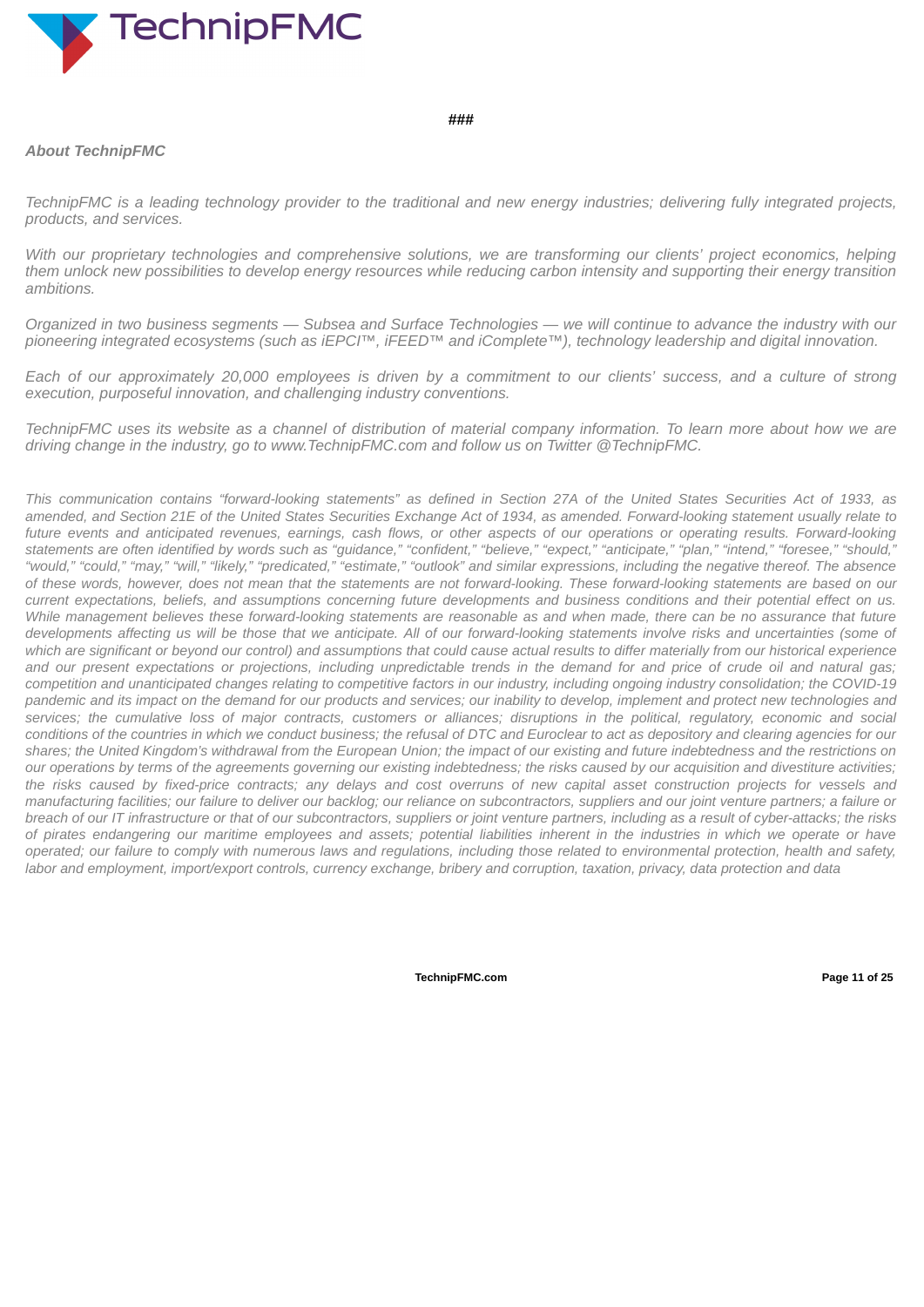

### **###**

## *About TechnipFMC*

TechnipFMC is a leading technology provider to the traditional and new energy industries; delivering fully integrated projects, *products, and services.*

With our proprietary technologies and comprehensive solutions, we are transforming our clients' project economics, helping them unlock new possibilities to develop energy resources while reducing carbon intensity and supporting their energy transition *ambitions.*

Organized in two business segments - Subsea and Surface Technologies - we will continue to advance the industry with our *pioneering integrated ecosystems (such as iEPCI™, iFEED™ and iComplete™), technology leadership and digital innovation.*

Each of our approximately 20,000 employees is driven by a commitment to our clients' success, and a culture of strong *execution, purposeful innovation, and challenging industry conventions.*

TechnipFMC uses its website as a channel of distribution of material company information. To learn more about how we are *driving change in the industry, go to www.TechnipFMC.com and follow us on Twitter @TechnipFMC.*

This communication contains "forward-looking statements" as defined in Section 27A of the United States Securities Act of 1933, as amended, and Section 21E of the United States Securities Exchange Act of 1934, as amended. Forward-looking statement usually relate to future events and anticipated revenues, earnings, cash flows, or other aspects of our operations or operating results. Forward-looking statements are often identified by words such as "guidance," "confident," "believe," "expect," "anticipate," "plan," "intend," "foresee," "should," "would," "could," "may," "will," "likely," "predicated," "estimate," "outlook" and similar expressions, including the negative thereof. The absence of these words, however, does not mean that the statements are not forward-looking. These forward-looking statements are based on our current expectations, beliefs, and assumptions concerning future developments and business conditions and their potential effect on us. While management believes these forward-looking statements are reasonable as and when made, there can be no assurance that future developments affecting us will be those that we anticipate. All of our forward-looking statements involve risks and uncertainties (some of which are significant or beyond our control) and assumptions that could cause actual results to differ materially from our historical experience and our present expectations or projections, including unpredictable trends in the demand for and price of crude oil and natural gas; competition and unanticipated changes relating to competitive factors in our industry, including ongoing industry consolidation; the COVID-19 pandemic and its impact on the demand for our products and services; our inability to develop, implement and protect new technologies and services; the cumulative loss of major contracts, customers or alliances; disruptions in the political, regulatory, economic and social conditions of the countries in which we conduct business; the refusal of DTC and Euroclear to act as depository and clearing agencies for our shares; the United Kingdom's withdrawal from the European Union; the impact of our existing and future indebtedness and the restrictions on our operations by terms of the agreements governing our existing indebtedness; the risks caused by our acquisition and divestiture activities; the risks caused by fixed-price contracts; any delays and cost overruns of new capital asset construction projects for vessels and manufacturing facilities; our failure to deliver our backlog; our reliance on subcontractors, suppliers and our joint venture partners; a failure or breach of our IT infrastructure or that of our subcontractors, suppliers or joint venture partners, including as a result of cyber-attacks; the risks of pirates endangering our maritime employees and assets; potential liabilities inherent in the industries in which we operate or have operated; our failure to comply with numerous laws and regulations, including those related to environmental protection, health and safety, labor and employment, import/export controls, currency exchange, bribery and corruption, taxation, privacy, data protection and data

**TechnipFMC.com Page 11 of [25](#page-27-0)**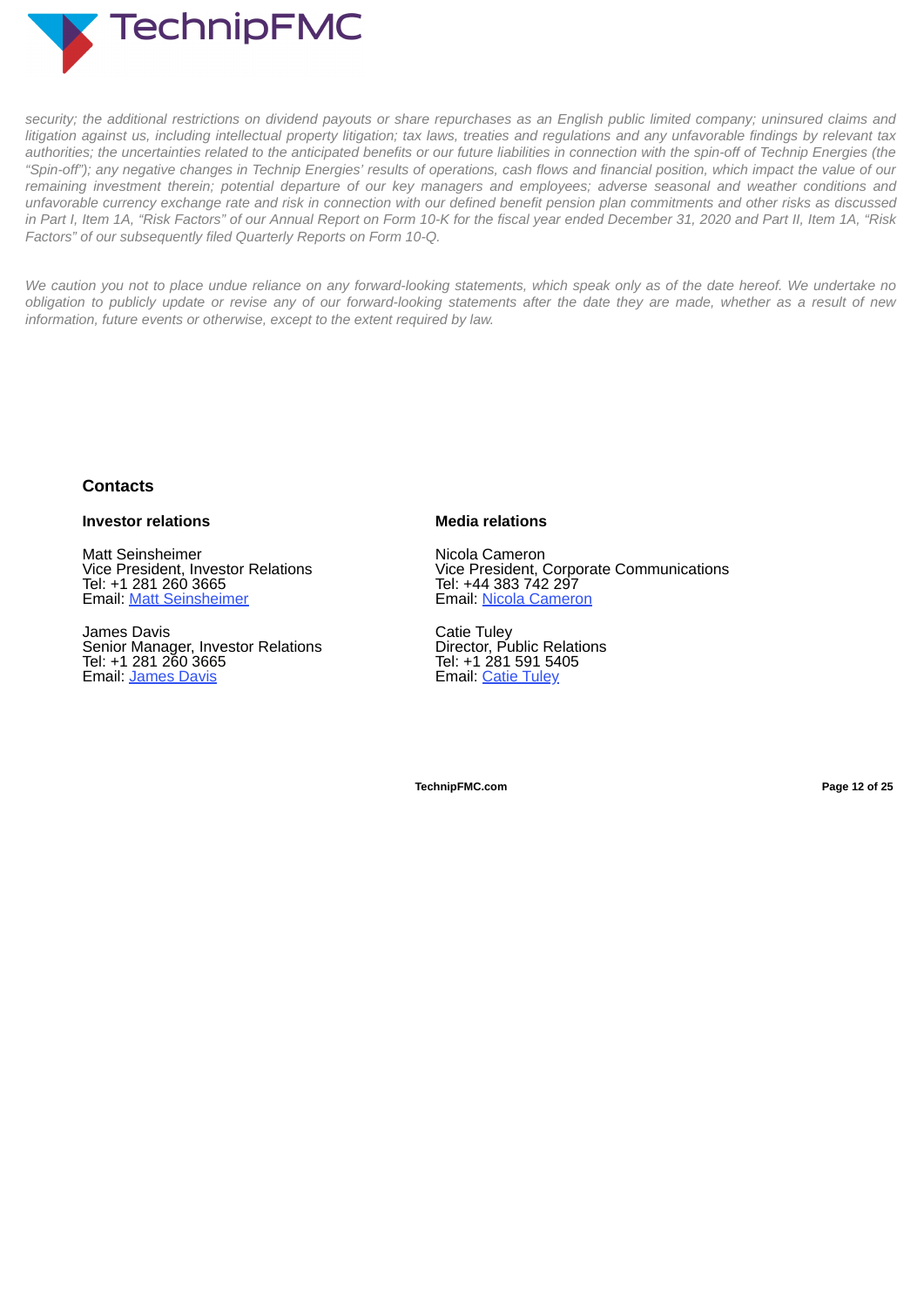**TechnipFMC** 

security; the additional restrictions on dividend payouts or share repurchases as an English public limited company; uninsured claims and litigation against us, including intellectual property litigation; tax laws, treaties and regulations and any unfavorable findings by relevant tax authorities; the uncertainties related to the anticipated benefits or our future liabilities in connection with the spin-off of Technip Energies (the "Spin-off"); any negative changes in Technip Energies' results of operations, cash flows and financial position, which impact the value of our remaining investment therein; potential departure of our key managers and employees; adverse seasonal and weather conditions and unfavorable currency exchange rate and risk in connection with our defined benefit pension plan commitments and other risks as discussed in Part I, Item 1A, "Risk Factors" of our Annual Report on Form 10-K for the fiscal year ended December 31, 2020 and Part II, Item 1A, "Risk *Factors" of our subsequently filed Quarterly Reports on Form 10-Q.*

We caution you not to place undue reliance on any forward-looking statements, which speak only as of the date hereof. We undertake no obligation to publicly update or revise any of our forward-looking statements after the date they are made, whether as a result of new *information, future events or otherwise, except to the extent required by law.*

## **Contacts**

## **Investor relations**

Matt Seinsheimer Vice President, Investor Relations Tel: +1 281 260 3665 Email: Matt Seinsheimer

James Davis Senior Manager, Investor Relations Tel: +1 281 260 3665 Email: James Davis

## **Media relations**

Nicola Cameron Vice President, Corporate Communications Tel: +44 383 742 297 Email: Nicola Cameron

Catie Tuley Director, Public Relations Tel: +1 281 591 5405 Email: Catie Tuley

**TechnipFMC.com Page 12 of [25](#page-27-0)**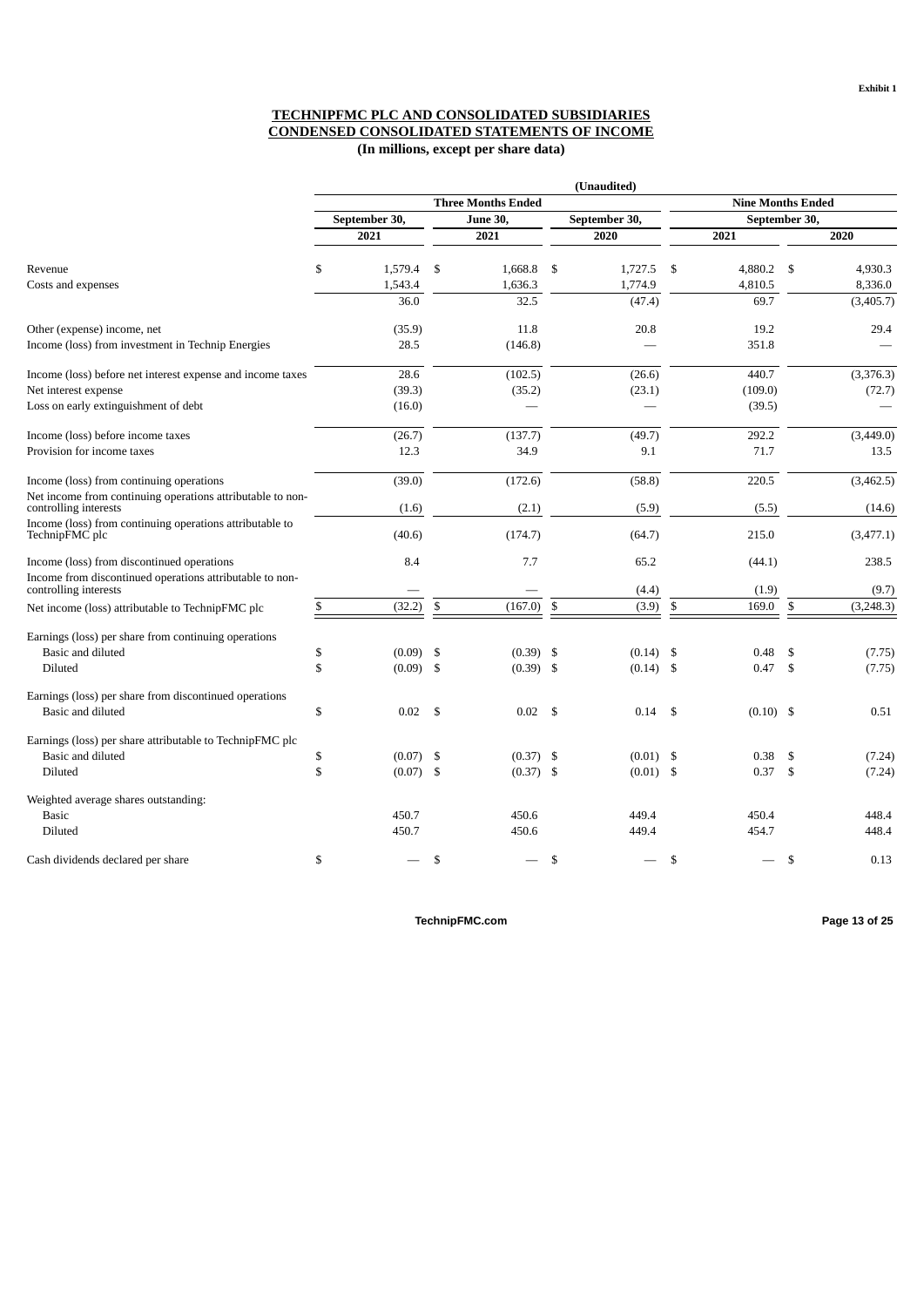## **TECHNIPFMC PLC AND CONSOLIDATED SUBSIDIARIES CONDENSED CONSOLIDATED STATEMENTS OF INCOME (In millions, except per share data)**

|                                                                                     |                   |     |                                  |                | (Unaudited)              |               |               |                |           |  |
|-------------------------------------------------------------------------------------|-------------------|-----|----------------------------------|----------------|--------------------------|---------------|---------------|----------------|-----------|--|
|                                                                                     |                   |     | <b>Three Months Ended</b>        |                | <b>Nine Months Ended</b> |               |               |                |           |  |
|                                                                                     | September 30,     |     | <b>June 30,</b><br>September 30, |                |                          |               | September 30, |                |           |  |
|                                                                                     | 2021              |     | 2021                             |                | 2020                     |               | 2021          |                | 2020      |  |
| Revenue                                                                             | \$<br>1,579.4     | \$  | 1,668.8                          | <sup>\$</sup>  | 1,727.5                  | <sup>\$</sup> | 4.880.2       | $\mathcal{S}$  | 4.930.3   |  |
| Costs and expenses                                                                  | 1,543.4           |     | 1,636.3                          |                | 1,774.9                  |               | 4,810.5       |                | 8,336.0   |  |
|                                                                                     | 36.0              |     | 32.5                             |                | (47.4)                   |               | 69.7          |                | (3,405.7) |  |
| Other (expense) income, net                                                         | (35.9)            |     | 11.8                             |                | 20.8                     |               | 19.2          |                | 29.4      |  |
| Income (loss) from investment in Technip Energies                                   | 28.5              |     | (146.8)                          |                |                          |               | 351.8         |                |           |  |
| Income (loss) before net interest expense and income taxes                          | 28.6              |     | (102.5)                          |                | (26.6)                   |               | 440.7         |                | (3,376.3) |  |
| Net interest expense                                                                | (39.3)            |     | (35.2)                           |                | (23.1)                   |               | (109.0)       |                | (72.7)    |  |
| Loss on early extinguishment of debt                                                | (16.0)            |     |                                  |                |                          |               | (39.5)        |                |           |  |
| Income (loss) before income taxes                                                   | (26.7)            |     | (137.7)                          |                | (49.7)                   |               | 292.2         |                | (3,449.0) |  |
| Provision for income taxes                                                          | 12.3              |     | 34.9                             |                | 9.1                      |               | 71.7          |                | 13.5      |  |
| Income (loss) from continuing operations                                            | (39.0)            |     | (172.6)                          |                | (58.8)                   |               | 220.5         |                | (3,462.5) |  |
| Net income from continuing operations attributable to non-<br>controlling interests | (1.6)             |     | (2.1)                            |                | (5.9)                    |               | (5.5)         |                | (14.6)    |  |
| Income (loss) from continuing operations attributable to<br>TechnipFMC plc          | (40.6)            |     | (174.7)                          |                | (64.7)                   |               | 215.0         |                | (3,477.1) |  |
| Income (loss) from discontinued operations                                          | 8.4               |     | 7.7                              |                | 65.2                     |               | (44.1)        |                | 238.5     |  |
| Income from discontinued operations attributable to non-<br>controlling interests   |                   |     |                                  |                | (4.4)                    |               | (1.9)         |                | (9.7)     |  |
| Net income (loss) attributable to TechnipFMC plc                                    | \$<br>(32.2)      | \$  | (167.0)                          | $\mathfrak{S}$ | (3.9)                    | $\mathbb{S}$  | 169.0         | $\mathfrak{S}$ | (3,248.3) |  |
| Earnings (loss) per share from continuing operations                                |                   |     |                                  |                |                          |               |               |                |           |  |
| Basic and diluted                                                                   | \$<br>$(0.09)$ \$ |     | $(0.39)$ \$                      |                | (0.14)                   | -\$           | 0.48          | \$             | (7.75)    |  |
| Diluted                                                                             | \$<br>(0.09)      | -\$ | $(0.39)$ \$                      |                | (0.14)                   | \$            | 0.47          | \$             | (7.75)    |  |
| Earnings (loss) per share from discontinued operations                              |                   |     |                                  |                |                          |               |               |                |           |  |
| Basic and diluted                                                                   | \$<br>0.02        | -\$ | 0.02                             | - \$           | 0.14                     | \$            | $(0.10)$ \$   |                | 0.51      |  |
| Earnings (loss) per share attributable to TechnipFMC plc                            |                   |     |                                  |                |                          |               |               |                |           |  |
| Basic and diluted                                                                   | \$<br>$(0.07)$ \$ |     | $(0.37)$ \$                      |                | $(0.01)$ \$              |               | 0.38          | \$             | (7.24)    |  |
| Diluted                                                                             | \$<br>$(0.07)$ \$ |     | $(0.37)$ \$                      |                | $(0.01)$ \$              |               | 0.37          | \$             | (7.24)    |  |
| Weighted average shares outstanding:                                                |                   |     |                                  |                |                          |               |               |                |           |  |
| <b>Basic</b>                                                                        | 450.7             |     | 450.6                            |                | 449.4                    |               | 450.4         |                | 448.4     |  |
| Diluted                                                                             | 450.7             |     | 450.6                            |                | 449.4                    |               | 454.7         |                | 448.4     |  |
| Cash dividends declared per share                                                   | \$                | \$  |                                  | \$             |                          | \$            |               | \$             | 0.13      |  |

**TechnipFMC.com Page 13 of [25](#page-27-0)**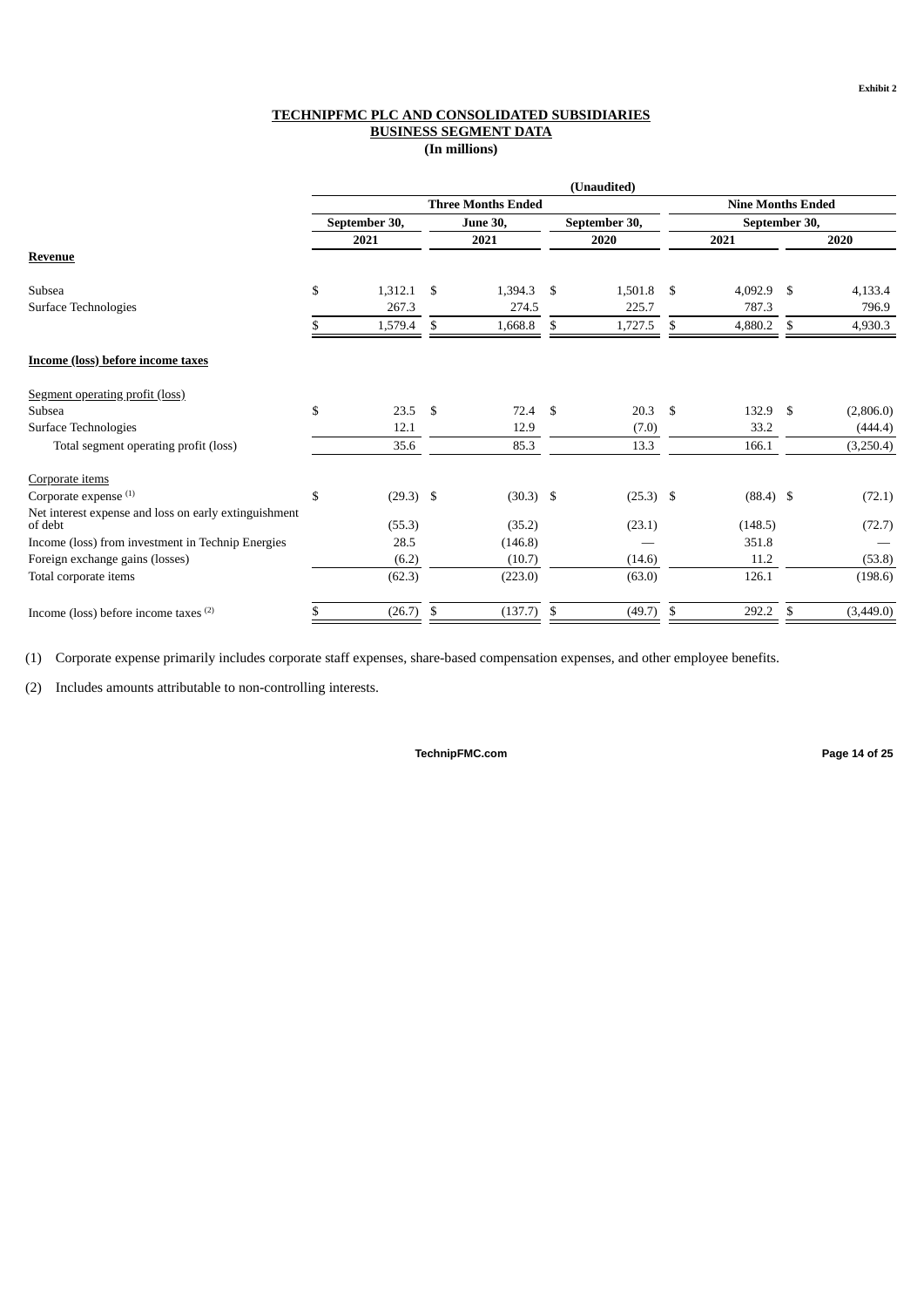## **TECHNIPFMC PLC AND CONSOLIDATED SUBSIDIARIES BUSINESS SEGMENT DATA (In millions)**

|                                                                  |                   |    |                           |    | (Unaudited)   |      |                          |     |           |  |  |
|------------------------------------------------------------------|-------------------|----|---------------------------|----|---------------|------|--------------------------|-----|-----------|--|--|
|                                                                  |                   |    | <b>Three Months Ended</b> |    |               |      | <b>Nine Months Ended</b> |     |           |  |  |
|                                                                  | September 30,     |    | <b>June 30,</b>           |    | September 30, |      | September 30,            |     |           |  |  |
|                                                                  | 2021              |    | 2021                      |    | 2020          | 2021 |                          |     | 2020      |  |  |
| Revenue                                                          |                   |    |                           |    |               |      |                          |     |           |  |  |
| Subsea                                                           | \$<br>1,312.1     | \$ | 1,394.3                   | \$ | 1,501.8       | \$   | 4,092.9                  | \$  | 4,133.4   |  |  |
| Surface Technologies                                             | 267.3             |    | 274.5                     |    | 225.7         |      | 787.3                    |     | 796.9     |  |  |
|                                                                  | 1,579.4           | \$ | 1,668.8                   | \$ | 1,727.5       | \$   | 4,880.2                  | \$  | 4,930.3   |  |  |
| <b>Income (loss) before income taxes</b>                         |                   |    |                           |    |               |      |                          |     |           |  |  |
| Segment operating profit (loss)                                  |                   |    |                           |    |               |      |                          |     |           |  |  |
| Subsea                                                           | \$<br>23.5        | -S | $72.4$ \$                 |    | 20.3          | \$   | 132.9                    | -\$ | (2,806.0) |  |  |
| Surface Technologies                                             | 12.1              |    | 12.9                      |    | (7.0)         |      | 33.2                     |     | (444.4)   |  |  |
| Total segment operating profit (loss)                            | 35.6              |    | 85.3                      |    | 13.3          |      | 166.1                    |     | (3,250.4) |  |  |
| Corporate items                                                  |                   |    |                           |    |               |      |                          |     |           |  |  |
| Corporate expense <sup>(1)</sup>                                 | \$<br>$(29.3)$ \$ |    | $(30.3)$ \$               |    | $(25.3)$ \$   |      | $(88.4)$ \$              |     | (72.1)    |  |  |
| Net interest expense and loss on early extinguishment<br>of debt | (55.3)            |    | (35.2)                    |    | (23.1)        |      | (148.5)                  |     | (72.7)    |  |  |
|                                                                  |                   |    |                           |    |               |      | 351.8                    |     |           |  |  |
| Income (loss) from investment in Technip Energies                | 28.5              |    | (146.8)                   |    |               |      |                          |     |           |  |  |
| Foreign exchange gains (losses)                                  | (6.2)             |    | (10.7)                    |    | (14.6)        |      | 11.2                     |     | (53.8)    |  |  |
| Total corporate items                                            | (62.3)            |    | (223.0)                   |    | (63.0)        |      | 126.1                    |     | (198.6)   |  |  |
| Income (loss) before income taxes (2)                            | (26.7)            | \$ | (137.7)                   | \$ | (49.7)        | \$   | 292.2                    | \$  | (3,449.0) |  |  |

(1) Corporate expense primarily includes corporate staff expenses, share-based compensation expenses, and other employee benefits.

(2) Includes amounts attributable to non-controlling interests.

**TechnipFMC.com Page 14 of [25](#page-27-0)**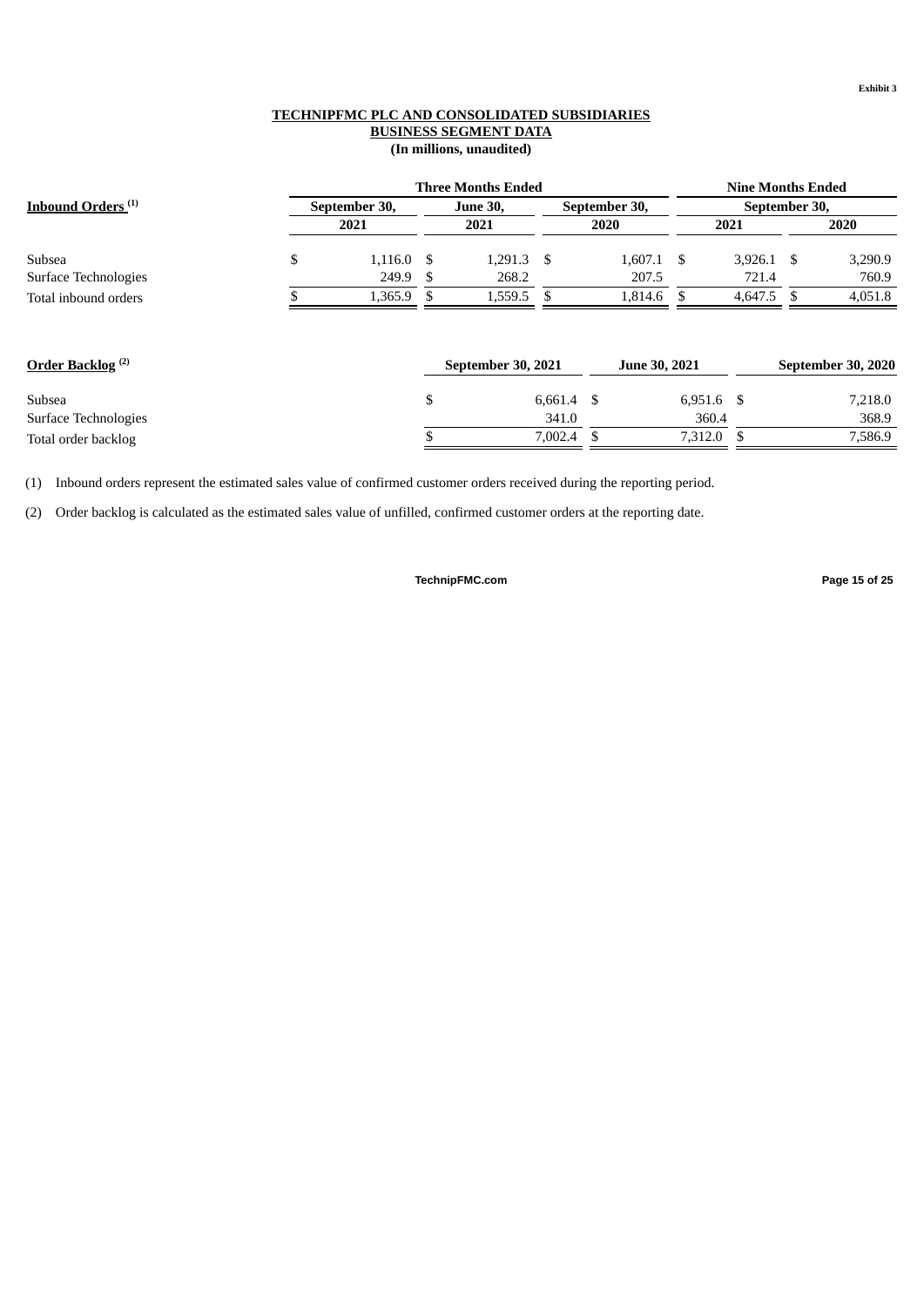## **TECHNIPFMC PLC AND CONSOLIDATED SUBSIDIARIES BUSINESS SEGMENT DATA (In millions, unaudited)**

|                                |               | <b>Nine Months Ended</b> |    |                           |                       |                      |                       |              |  |                    |  |  |
|--------------------------------|---------------|--------------------------|----|---------------------------|-----------------------|----------------------|-----------------------|--------------|--|--------------------|--|--|
| Inbound Orders <sup>(1)</sup>  | September 30, |                          |    | <b>June 30,</b>           |                       | September 30,        | September 30,         |              |  |                    |  |  |
|                                |               | 2021                     |    | 2021                      |                       | 2020                 | 2021                  |              |  | 2020               |  |  |
| Subsea                         | \$            | $1,116.0$ \$             |    | $1,291.3$ \$              |                       | $1,607.1$ \$         |                       | $3,926.1$ \$ |  | 3,290.9            |  |  |
| Surface Technologies           |               | 249.9                    | -S | 268.2                     |                       | 207.5                |                       | 721.4        |  | 760.9              |  |  |
| Total inbound orders           |               | $1,365.9$ \$             |    | 1,559.5                   | -S                    | 1,814.6              | -S                    | $4,647.5$ \$ |  | 4,051.8            |  |  |
| Order Backlog <sup>(2)</sup>   |               |                          |    | <b>September 30, 2021</b> |                       | <b>June 30, 2021</b> |                       |              |  | September 30, 2020 |  |  |
| Subsea<br>Surface Technologies |               |                          | \$ |                           | $6,661.4$ \$<br>341.0 |                      | $6,951.6$ \$<br>360.4 |              |  | 7,218.0<br>368.9   |  |  |
| Total order backlog            |               |                          |    |                           | $7,002.4$ \$          |                      | 7,312.0               | S            |  | 7,586.9            |  |  |

(1) Inbound orders represent the estimated sales value of confirmed customer orders received during the reporting period.

(2) Order backlog is calculated as the estimated sales value of unfilled, confirmed customer orders at the reporting date.

**TechnipFMC.com Page 15 of [25](#page-27-0)**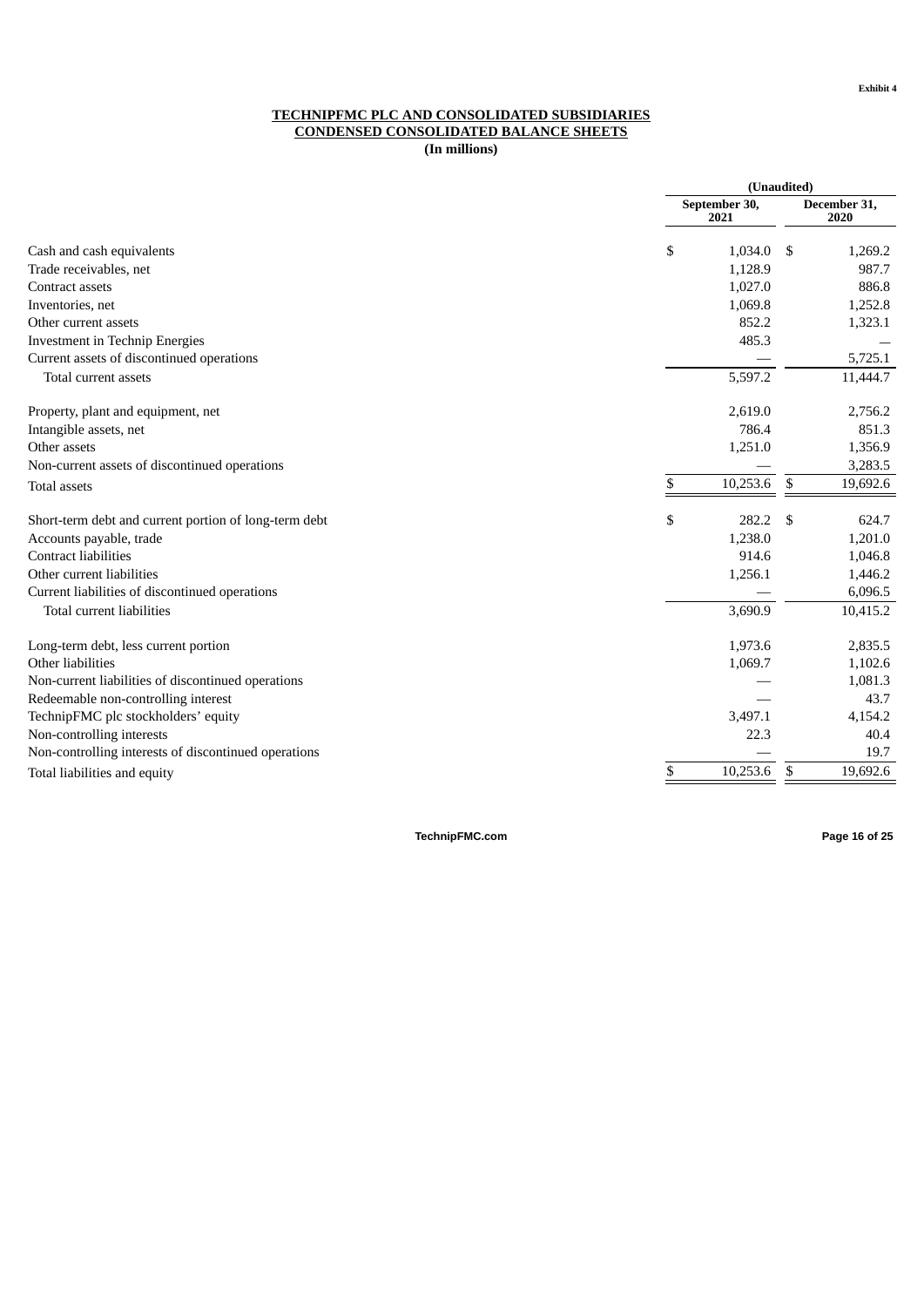#### **TECHNIPFMC PLC AND CONSOLIDATED SUBSIDIARIES CONDENSED CONSOLIDATED BALANCE SHEETS**

**(In millions)**

|                                                       | (Unaudited)           |      |                      |
|-------------------------------------------------------|-----------------------|------|----------------------|
|                                                       | September 30,<br>2021 |      | December 31,<br>2020 |
| Cash and cash equivalents                             | \$<br>1,034.0         | - \$ | 1,269.2              |
| Trade receivables, net                                | 1,128.9               |      | 987.7                |
| Contract assets                                       | 1,027.0               |      | 886.8                |
| Inventories, net                                      | 1,069.8               |      | 1,252.8              |
| Other current assets                                  | 852.2                 |      | 1,323.1              |
| Investment in Technip Energies                        | 485.3                 |      |                      |
| Current assets of discontinued operations             |                       |      | 5,725.1              |
| Total current assets                                  | 5,597.2               |      | 11,444.7             |
| Property, plant and equipment, net                    | 2,619.0               |      | 2,756.2              |
| Intangible assets, net                                | 786.4                 |      | 851.3                |
| Other assets                                          | 1,251.0               |      | 1,356.9              |
| Non-current assets of discontinued operations         |                       |      | 3,283.5              |
| <b>Total assets</b>                                   | \$<br>10,253.6        | \$   | 19,692.6             |
| Short-term debt and current portion of long-term debt | \$<br>282.2           | \$.  | 624.7                |
| Accounts payable, trade                               | 1,238.0               |      | 1,201.0              |
| <b>Contract liabilities</b>                           | 914.6                 |      | 1,046.8              |
| Other current liabilities                             | 1,256.1               |      | 1,446.2              |
| Current liabilities of discontinued operations        |                       |      | 6,096.5              |
| Total current liabilities                             | 3,690.9               |      | 10,415.2             |
| Long-term debt, less current portion                  | 1,973.6               |      | 2,835.5              |
| Other liabilities                                     | 1,069.7               |      | 1,102.6              |
| Non-current liabilities of discontinued operations    |                       |      | 1,081.3              |
| Redeemable non-controlling interest                   |                       |      | 43.7                 |
| TechnipFMC plc stockholders' equity                   | 3,497.1               |      | 4,154.2              |
| Non-controlling interests                             | 22.3                  |      | 40.4                 |
| Non-controlling interests of discontinued operations  |                       |      | 19.7                 |
| Total liabilities and equity                          | \$<br>10,253.6        | \$   | 19,692.6             |

**TechnipFMC.com Page 16 of [25](#page-27-0)**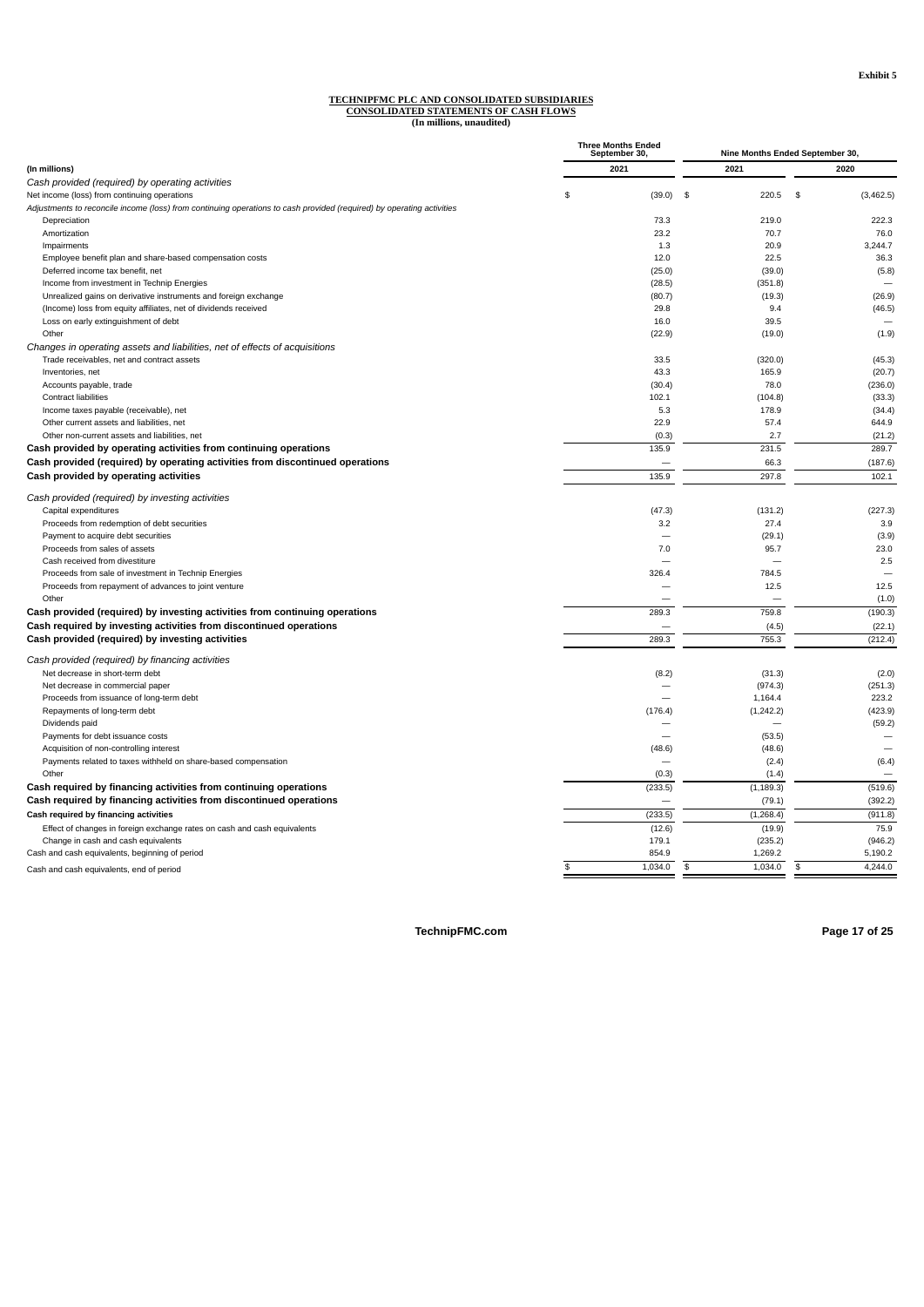## **TECHNIPFMC PLC AND CONSOLIDATED SUBSIDIARIES CONSOLIDATED STATEMENTS OF CASH FLOWS (In millions, unaudited)**

|                                                                                                                       | <b>Three Months Ended</b><br>September 30, | Nine Months Ended September 30, |                 |  |  |  |
|-----------------------------------------------------------------------------------------------------------------------|--------------------------------------------|---------------------------------|-----------------|--|--|--|
| (In millions)                                                                                                         | 2021                                       | 2021                            | 2020            |  |  |  |
| Cash provided (required) by operating activities                                                                      |                                            |                                 |                 |  |  |  |
| Net income (loss) from continuing operations                                                                          | \$<br>(39.0)                               | \$<br>220.5                     | \$<br>(3,462.5) |  |  |  |
| Adjustments to reconcile income (loss) from continuing operations to cash provided (required) by operating activities |                                            |                                 |                 |  |  |  |
| Depreciation                                                                                                          | 73.3                                       | 219.0                           | 222.3           |  |  |  |
| Amortization                                                                                                          | 23.2                                       | 70.7                            | 76.0            |  |  |  |
| Impairments                                                                                                           | 1.3                                        | 20.9                            | 3,244.7         |  |  |  |
| Employee benefit plan and share-based compensation costs                                                              | 12.0                                       | 22.5                            | 36.3            |  |  |  |
| Deferred income tax benefit, net                                                                                      | (25.0)                                     | (39.0)                          | (5.8)           |  |  |  |
| Income from investment in Technip Energies                                                                            | (28.5)                                     | (351.8)                         |                 |  |  |  |
| Unrealized gains on derivative instruments and foreign exchange                                                       | (80.7)                                     | (19.3)                          | (26.9)          |  |  |  |
| (Income) loss from equity affiliates, net of dividends received                                                       | 29.8                                       | 9.4                             | (46.5)          |  |  |  |
| Loss on early extinguishment of debt                                                                                  | 16.0                                       | 39.5                            |                 |  |  |  |
| Other                                                                                                                 |                                            | (19.0)                          | (1.9)           |  |  |  |
|                                                                                                                       | (22.9)                                     |                                 |                 |  |  |  |
| Changes in operating assets and liabilities, net of effects of acquisitions                                           |                                            |                                 |                 |  |  |  |
| Trade receivables, net and contract assets                                                                            | 33.5                                       | (320.0)                         | (45.3)          |  |  |  |
| Inventories, net                                                                                                      | 43.3                                       | 165.9                           | (20.7)          |  |  |  |
| Accounts payable, trade                                                                                               | (30.4)                                     | 78.0                            | (236.0)         |  |  |  |
| <b>Contract liabilities</b>                                                                                           | 102.1                                      | (104.8)                         | (33.3)          |  |  |  |
| Income taxes payable (receivable), net                                                                                | 5.3                                        | 178.9                           | (34.4)          |  |  |  |
| Other current assets and liabilities, net                                                                             | 22.9                                       | 57.4                            | 644.9           |  |  |  |
| Other non-current assets and liabilities, net                                                                         | (0.3)                                      | 2.7                             | (21.2)          |  |  |  |
| Cash provided by operating activities from continuing operations                                                      | 135.9                                      | 231.5                           | 289.7           |  |  |  |
| Cash provided (required) by operating activities from discontinued operations                                         |                                            | 66.3                            | (187.6)         |  |  |  |
| Cash provided by operating activities                                                                                 | 135.9                                      | 297.8                           | 102.1           |  |  |  |
|                                                                                                                       |                                            |                                 |                 |  |  |  |
| Cash provided (required) by investing activities                                                                      |                                            |                                 |                 |  |  |  |
| Capital expenditures                                                                                                  | (47.3)                                     | (131.2)                         | (227.3)         |  |  |  |
| Proceeds from redemption of debt securities                                                                           | 3.2                                        | 27.4                            | 3.9             |  |  |  |
| Payment to acquire debt securities                                                                                    | $\overline{\phantom{0}}$                   | (29.1)                          | (3.9)           |  |  |  |
| Proceeds from sales of assets                                                                                         | 7.0                                        | 95.7                            | 23.0            |  |  |  |
| Cash received from divestiture                                                                                        |                                            |                                 | 2.5             |  |  |  |
| Proceeds from sale of investment in Technip Energies                                                                  | 326.4                                      | 784.5                           |                 |  |  |  |
| Proceeds from repayment of advances to joint venture                                                                  |                                            | 12.5                            | 12.5            |  |  |  |
| Other                                                                                                                 |                                            |                                 | (1.0)           |  |  |  |
| Cash provided (required) by investing activities from continuing operations                                           | 289.3                                      | 759.8                           | (190.3)         |  |  |  |
| Cash required by investing activities from discontinued operations                                                    |                                            | (4.5)                           | (22.1)          |  |  |  |
|                                                                                                                       |                                            |                                 |                 |  |  |  |
| Cash provided (required) by investing activities                                                                      | 289.3                                      | 755.3                           | (212.4)         |  |  |  |
| Cash provided (required) by financing activities                                                                      |                                            |                                 |                 |  |  |  |
| Net decrease in short-term debt                                                                                       | (8.2)                                      | (31.3)                          | (2.0)           |  |  |  |
| Net decrease in commercial paper                                                                                      |                                            | (974.3)                         | (251.3)         |  |  |  |
| Proceeds from issuance of long-term debt                                                                              |                                            | 1,164.4                         | 223.2           |  |  |  |
| Repayments of long-term debt                                                                                          | (176.4)                                    | (1, 242.2)                      | (423.9)         |  |  |  |
| Dividends paid                                                                                                        |                                            |                                 | (59.2)          |  |  |  |
| Payments for debt issuance costs                                                                                      |                                            | (53.5)                          |                 |  |  |  |
| Acquisition of non-controlling interest                                                                               |                                            | (48.6)                          |                 |  |  |  |
|                                                                                                                       | (48.6)                                     |                                 |                 |  |  |  |
| Payments related to taxes withheld on share-based compensation                                                        |                                            | (2.4)                           | (6.4)           |  |  |  |
| Other                                                                                                                 | (0.3)                                      | (1.4)                           |                 |  |  |  |
| Cash required by financing activities from continuing operations                                                      | (233.5)                                    | (1, 189.3)                      | (519.6)         |  |  |  |
| Cash required by financing activities from discontinued operations                                                    |                                            | (79.1)                          | (392.2)         |  |  |  |
| Cash required by financing activities                                                                                 | (233.5)                                    | (1, 268.4)                      | (911.8)         |  |  |  |
| Effect of changes in foreign exchange rates on cash and cash equivalents                                              | (12.6)                                     | (19.9)                          | 75.9            |  |  |  |
| Change in cash and cash equivalents                                                                                   | 179.1                                      | (235.2)                         | (946.2)         |  |  |  |
| Cash and cash equivalents, beginning of period                                                                        | 854.9                                      | 1,269.2                         | 5,190.2         |  |  |  |
| Cash and cash equivalents, end of period                                                                              | \$<br>1,034.0                              | 1,034.0<br>\$                   | 4,244.0<br>\$   |  |  |  |
|                                                                                                                       |                                            |                                 |                 |  |  |  |

**TechnipFMC.com Page 17 of [25](#page-27-0)**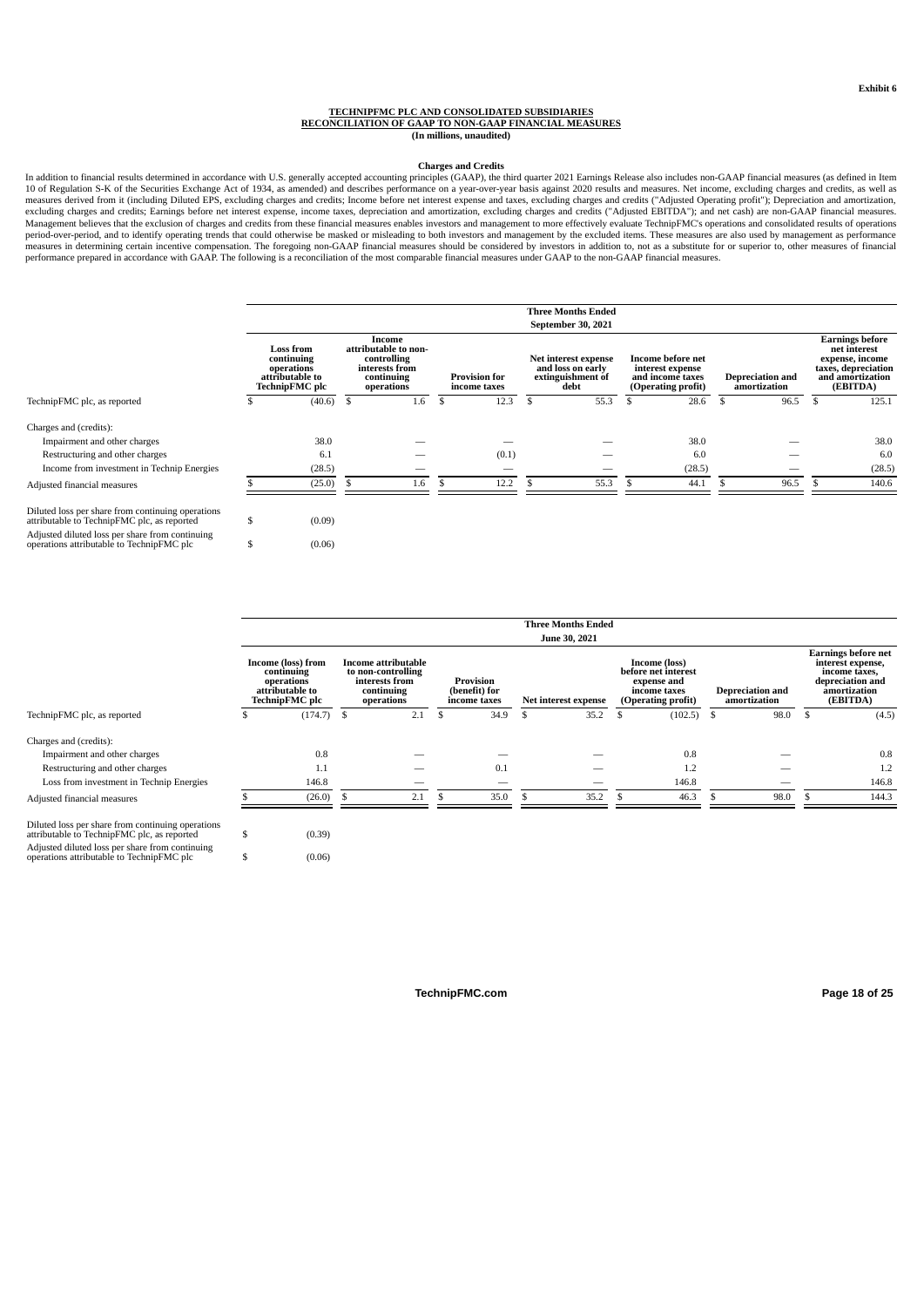#### **TECHNIPFMC PLC AND CONSOLIDATED SUBSIDIARIES RECONCILIATION OF GAAP TO NON-GAAP FINANCIAL MEASURES (In millions, unaudited)**

#### **Charges and Credits**

In addition to financial results determined in accordance with U.S. generally accepted accounting principles (GAAP), the third quarter 2021 Earnings Release also includes non-GAAP financial measures (as defined in Item<br>10 excluding charges and credits; Earnings before net interest expense, income taxes, depreciation and amortization, excluding charges and credits ("Adjusted EBITDA"); and net cash) are non-GAAP financial measures.<br>Management measures in determining certain incentive compensation. The foregoing non-GAAP financial measures should be considered by investors in addition to, not as a substitute for or superior to, other measures of financial<br>perfor

|                                                                                                  |                                                                                   |      |                                                                                             |    |                                      | <b>Three Months Ended</b>                                              |                                                                                        |    |                                         |      |                                                                                                                  |
|--------------------------------------------------------------------------------------------------|-----------------------------------------------------------------------------------|------|---------------------------------------------------------------------------------------------|----|--------------------------------------|------------------------------------------------------------------------|----------------------------------------------------------------------------------------|----|-----------------------------------------|------|------------------------------------------------------------------------------------------------------------------|
|                                                                                                  |                                                                                   |      |                                                                                             |    |                                      | September 30, 2021                                                     |                                                                                        |    |                                         |      |                                                                                                                  |
|                                                                                                  | <b>Loss from</b><br>continuing<br>operations<br>attributable to<br>TechnipFMC plc |      | Income<br>attributable to non-<br>controlling<br>interests from<br>continuing<br>operations |    | <b>Provision for</b><br>income taxes | Net interest expense<br>and loss on early<br>extinguishment of<br>debt | <b>Income before net</b><br>interest expense<br>and income taxes<br>(Operating profit) |    | <b>Depreciation and</b><br>amortization |      | <b>Earnings before</b><br>net interest<br>expense, income<br>taxes, depreciation<br>and amortization<br>(EBITDA) |
| TechnipFMC plc, as reported                                                                      | (40.6)                                                                            | - \$ | 1.6                                                                                         | S. | 12.3                                 | \$<br>55.3                                                             | 28.6                                                                                   | -S | 96.5                                    | - \$ | 125.1                                                                                                            |
| Charges and (credits):                                                                           |                                                                                   |      |                                                                                             |    |                                      |                                                                        |                                                                                        |    |                                         |      |                                                                                                                  |
| Impairment and other charges                                                                     | 38.0                                                                              |      |                                                                                             |    |                                      |                                                                        | 38.0                                                                                   |    |                                         |      | 38.0                                                                                                             |
| Restructuring and other charges                                                                  | 6.1                                                                               |      |                                                                                             |    | (0.1)                                |                                                                        | 6.0                                                                                    |    |                                         |      | 6.0                                                                                                              |
| Income from investment in Technip Energies                                                       | (28.5)                                                                            |      | _                                                                                           |    | -                                    | -                                                                      | (28.5)                                                                                 |    |                                         |      | (28.5)                                                                                                           |
| Adjusted financial measures                                                                      | (25.0)                                                                            |      | 1.6                                                                                         |    | 12.2                                 | 55.3                                                                   | 44.1                                                                                   |    | 96.5                                    |      | 140.6                                                                                                            |
| Diluted loss per share from continuing operations<br>attributable to TechnipFMC plc, as reported | \$<br>(0.09)                                                                      |      |                                                                                             |    |                                      |                                                                        |                                                                                        |    |                                         |      |                                                                                                                  |
| Adjusted diluted loss per share from continuing<br>operations attributable to TechnipFMC plc     | \$<br>(0.06)                                                                      |      |                                                                                             |    |                                      |                                                                        |                                                                                        |    |                                         |      |                                                                                                                  |

|                                                                                                  |                                                                                     |      |                                                                                                |   |                                                   |    | <b>Three Months Ended</b> |   |                                                                                                  |   |                                         |                                                                                                                  |
|--------------------------------------------------------------------------------------------------|-------------------------------------------------------------------------------------|------|------------------------------------------------------------------------------------------------|---|---------------------------------------------------|----|---------------------------|---|--------------------------------------------------------------------------------------------------|---|-----------------------------------------|------------------------------------------------------------------------------------------------------------------|
|                                                                                                  |                                                                                     |      |                                                                                                |   |                                                   |    | June 30, 2021             |   |                                                                                                  |   |                                         |                                                                                                                  |
|                                                                                                  | Income (loss) from<br>continuing<br>operations<br>attributable to<br>TechnipFMC plc |      | <b>Income attributable</b><br>to non-controlling<br>interests from<br>continuing<br>operations |   | <b>Provision</b><br>(benefit) for<br>income taxes |    | Net interest expense      |   | <b>Income (loss)</b><br>before net interest<br>expense and<br>income taxes<br>(Operating profit) |   | <b>Depreciation and</b><br>amortization | <b>Earnings before net</b><br>interest expense,<br>income taxes,<br>depreciation and<br>amortization<br>(EBITDA) |
| TechnipFMC plc, as reported                                                                      | (174.7)                                                                             | - \$ | 2.1                                                                                            | S | 34.9                                              | .S | 35.2                      | ъ | (102.5)                                                                                          | s | 98.0                                    | (4.5)                                                                                                            |
| Charges and (credits):                                                                           |                                                                                     |      |                                                                                                |   |                                                   |    |                           |   |                                                                                                  |   |                                         |                                                                                                                  |
| Impairment and other charges                                                                     | 0.8                                                                                 |      |                                                                                                |   |                                                   |    |                           |   | 0.8                                                                                              |   |                                         | 0.8                                                                                                              |
| Restructuring and other charges                                                                  | 1.1                                                                                 |      |                                                                                                |   | 0.1                                               |    |                           |   | 1.2                                                                                              |   |                                         | 1.2                                                                                                              |
| Loss from investment in Technip Energies                                                         | 146.8                                                                               |      |                                                                                                |   | $\overline{\phantom{a}}$                          |    | --                        |   | 146.8                                                                                            |   |                                         | 146.8                                                                                                            |
| Adjusted financial measures                                                                      | (26.0)                                                                              |      | 2.1                                                                                            |   | 35.0                                              |    | 35.2                      |   | 46.3                                                                                             |   | 98.0                                    | 144.3                                                                                                            |
| Diluted loss per share from continuing operations<br>attributable to TechnipFMC plc, as reported | (0.39)                                                                              |      |                                                                                                |   |                                                   |    |                           |   |                                                                                                  |   |                                         |                                                                                                                  |

Adjusted diluted loss per share from continuing operations attributable to TechnipFMC plc \$ (0.06)

**TechnipFMC.com Page 18 of [25](#page-27-0)**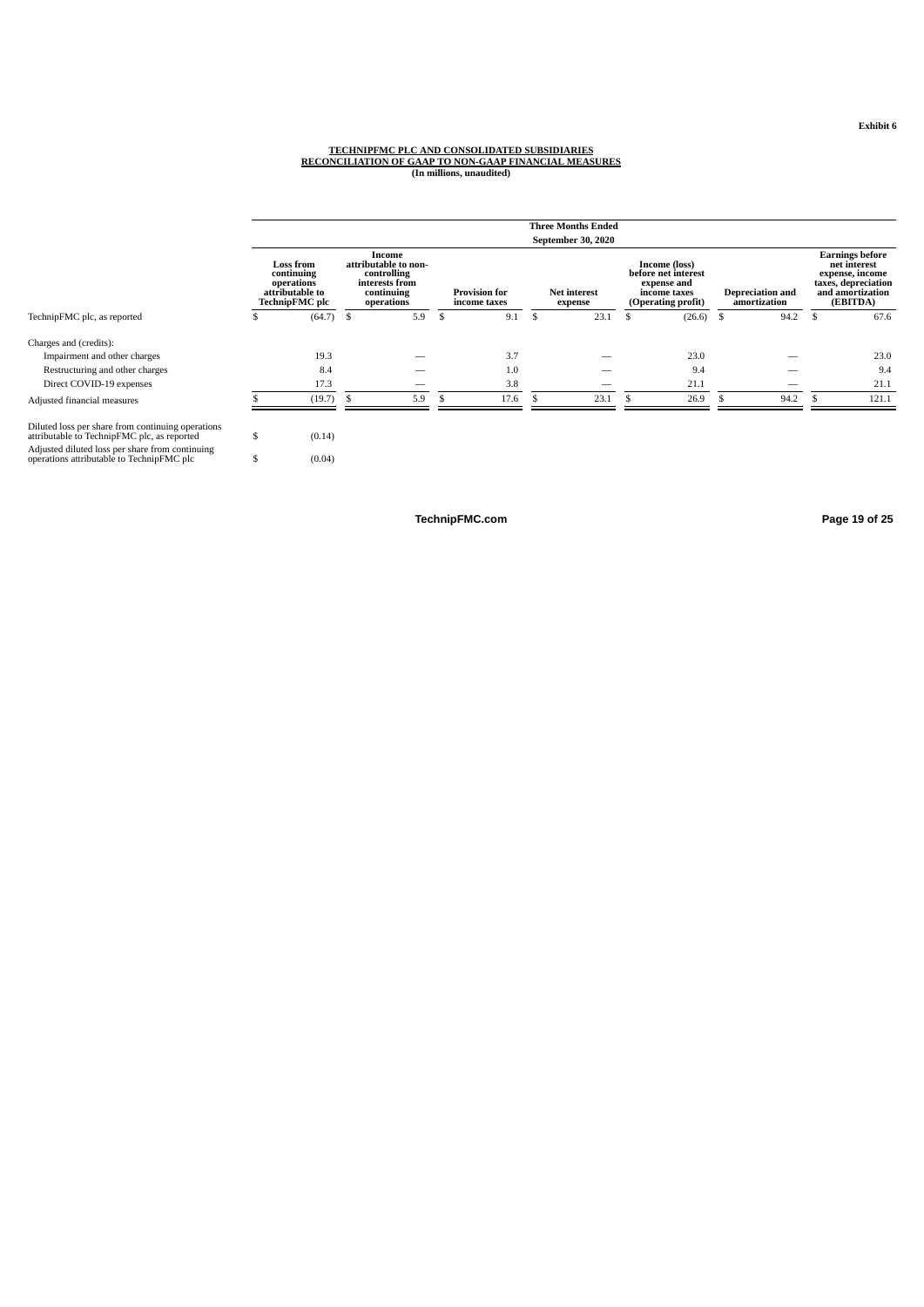#### **Exhibit 6**

## TECHNIPFMC PLC AND CONSOLIDATED SUBSIDIARIES<br>RECONCILIATION OF GAAP TO NON-GAAP FINANCIAL MEASURES<br>In millions, unaudited)

|                                                                                                                                                                                                  |          |                                                                                   |      |                                                                                             |   |                                      |   | <b>Three Months Ended</b>      |    |                                                                                           |     |                                         |     |                                                                                                                  |
|--------------------------------------------------------------------------------------------------------------------------------------------------------------------------------------------------|----------|-----------------------------------------------------------------------------------|------|---------------------------------------------------------------------------------------------|---|--------------------------------------|---|--------------------------------|----|-------------------------------------------------------------------------------------------|-----|-----------------------------------------|-----|------------------------------------------------------------------------------------------------------------------|
|                                                                                                                                                                                                  |          |                                                                                   |      |                                                                                             |   |                                      |   | September 30, 2020             |    |                                                                                           |     |                                         |     |                                                                                                                  |
|                                                                                                                                                                                                  |          | <b>Loss from</b><br>continuing<br>operations<br>attributable to<br>TechnipFMC plc |      | Income<br>attributable to non-<br>controlling<br>interests from<br>continuing<br>operations |   | <b>Provision for</b><br>income taxes |   | <b>Net interest</b><br>expense |    | Income (loss)<br>before net interest<br>expense and<br>income taxes<br>(Operating profit) |     | <b>Depreciation and</b><br>amortization |     | <b>Earnings before</b><br>net interest<br>expense, income<br>taxes, depreciation<br>and amortization<br>(EBITDA) |
| TechnipFMC plc, as reported                                                                                                                                                                      | Ъ.       | (64.7)                                                                            | - \$ | 5.9                                                                                         | ъ | 9.1                                  | S | 23.1                           | .S | (26.6)                                                                                    | - S | 94.2                                    | -\$ | 67.6                                                                                                             |
| Charges and (credits):                                                                                                                                                                           |          |                                                                                   |      |                                                                                             |   |                                      |   |                                |    |                                                                                           |     |                                         |     |                                                                                                                  |
| Impairment and other charges                                                                                                                                                                     |          | 19.3                                                                              |      |                                                                                             |   | 3.7                                  |   |                                |    | 23.0                                                                                      |     |                                         |     | 23.0                                                                                                             |
| Restructuring and other charges                                                                                                                                                                  |          | 8.4                                                                               |      |                                                                                             |   | 1.0                                  |   |                                |    | 9.4                                                                                       |     |                                         |     | 9.4                                                                                                              |
| Direct COVID-19 expenses                                                                                                                                                                         |          | 17.3                                                                              |      |                                                                                             |   | 3.8                                  |   |                                |    | 21.1                                                                                      |     |                                         |     | 21.1                                                                                                             |
| Adjusted financial measures                                                                                                                                                                      |          | (19.7)                                                                            |      | 5.9                                                                                         |   | 17.6                                 |   | 23.1                           |    | 26.9                                                                                      |     | 94.2                                    |     | 121.1                                                                                                            |
| Diluted loss per share from continuing operations<br>attributable to TechnipFMC plc, as reported<br>Adjusted diluted loss per share from continuing<br>operations attributable to TechnipFMC plc | \$<br>\$ | (0.14)<br>(0.04)                                                                  |      |                                                                                             |   |                                      |   |                                |    |                                                                                           |     |                                         |     |                                                                                                                  |

**TechnipFMC.com Page 19 of [25](#page-27-0)**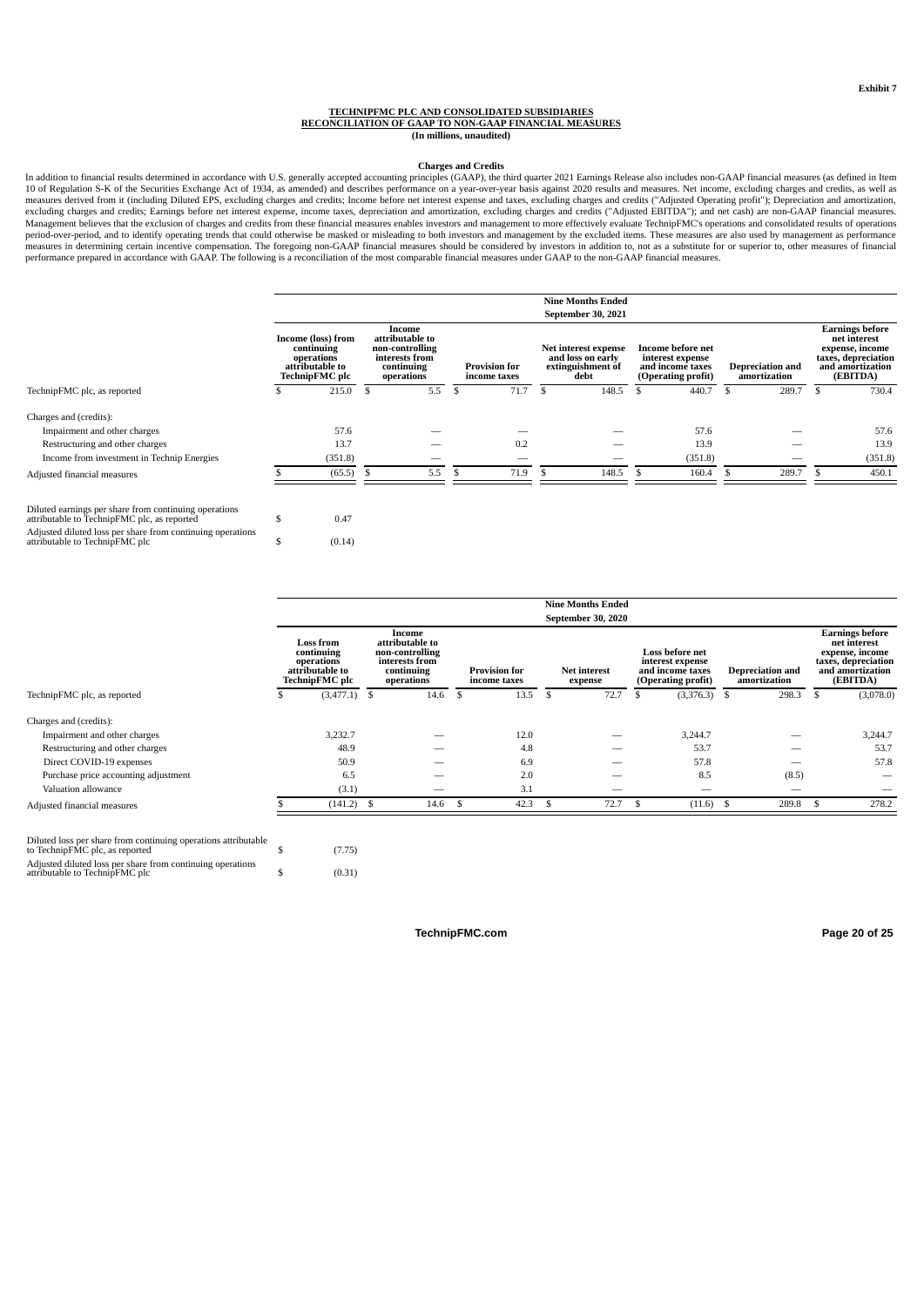#### **TECHNIPFMC PLC AND CONSOLIDATED SUBSIDIARIES RECONCILIATION OF GAAP TO NON-GAAP FINANCIAL MEASURES (In millions, unaudited)**

#### **Charges and Credits**

In addition to financial results determined in accordance with U.S. generally accepted accounting principles (GAAP), the third quarter 2021 Earnings Release also includes non-GAAP financial measures (as defined in Item<br>10 excluding charges and credits; Earnings before net interest expense, income taxes, depreciation and amortization, excluding charges and credits ("Adjusted EBITDA"); and net cash) are non-GAAP financial measures.<br>Management period-over-period, and to identify operating trends that could otherwise be masked or misleading to both investors and management by the excluded items. These measures are also used by management as performance measures in determining certain incentive compensation. The foregoing non-GAAP financial measures should be considered by investors in addition to, not as a substitute for or superior to, other measures of financial<br>perfor

|                                                                                                      |                                                                                            |    |                                                                                            |                                      |                | <b>Nine Months Ended</b>                                               |     |                                                                                 |                                         |     |                                                                                                                  |
|------------------------------------------------------------------------------------------------------|--------------------------------------------------------------------------------------------|----|--------------------------------------------------------------------------------------------|--------------------------------------|----------------|------------------------------------------------------------------------|-----|---------------------------------------------------------------------------------|-----------------------------------------|-----|------------------------------------------------------------------------------------------------------------------|
|                                                                                                      |                                                                                            |    |                                                                                            |                                      |                | September 30, 2021                                                     |     |                                                                                 |                                         |     |                                                                                                                  |
|                                                                                                      | Income (loss) from<br>continuing<br>operations<br>attributable to<br><b>TechnipFMC</b> plc |    | Income<br>attributable to<br>non-controlling<br>interests from<br>continuing<br>operations | <b>Provision for</b><br>income taxes |                | Net interest expense<br>and loss on early<br>extinguishment of<br>debt |     | Income before net<br>interest expense<br>and income taxes<br>(Operating profit) | <b>Depreciation and</b><br>amortization |     | <b>Earnings before</b><br>net interest<br>expense, income<br>taxes, depreciation<br>and amortization<br>(EBITDA) |
| TechnipFMC plc, as reported                                                                          | 215.0                                                                                      | -S | 5.5                                                                                        | \$<br>71.7                           | $\mathfrak{F}$ | 148.5                                                                  | \$. | 440.7                                                                           | 289.7                                   | \$. | 730.4                                                                                                            |
| Charges and (credits):                                                                               |                                                                                            |    |                                                                                            |                                      |                |                                                                        |     |                                                                                 |                                         |     |                                                                                                                  |
| Impairment and other charges                                                                         | 57.6                                                                                       |    |                                                                                            |                                      |                |                                                                        |     | 57.6                                                                            |                                         |     | 57.6                                                                                                             |
| Restructuring and other charges                                                                      | 13.7                                                                                       |    |                                                                                            | 0.2                                  |                |                                                                        |     | 13.9                                                                            |                                         |     | 13.9                                                                                                             |
| Income from investment in Technip Energies                                                           | (351.8)                                                                                    |    |                                                                                            |                                      |                |                                                                        |     | (351.8)                                                                         |                                         |     | (351.8)                                                                                                          |
| Adjusted financial measures                                                                          | (65.5)                                                                                     |    | 5.5                                                                                        | 71.9                                 |                | 148.5                                                                  |     | 160.4                                                                           | 289.7                                   |     | 450.1                                                                                                            |
| Diluted earnings per share from continuing operations<br>attributable to TechnipFMC plc, as reported | 0.47                                                                                       |    |                                                                                            |                                      |                |                                                                        |     |                                                                                 |                                         |     |                                                                                                                  |

Adjusted diluted loss per share from continuing operations attributable to TechnipFMC plc  $$$  (0.14)

|                                                                                                  |   |                                                                                   |                                                                                            |                                      |               | <b>Nine Months Ended</b><br>September 30, 2020 |      |                                                                                      |                                         |       |    |                                                                                                                  |
|--------------------------------------------------------------------------------------------------|---|-----------------------------------------------------------------------------------|--------------------------------------------------------------------------------------------|--------------------------------------|---------------|------------------------------------------------|------|--------------------------------------------------------------------------------------|-----------------------------------------|-------|----|------------------------------------------------------------------------------------------------------------------|
|                                                                                                  |   | <b>Loss from</b><br>continuing<br>operations<br>attributable to<br>TechnipFMC plc | Income<br>attributable to<br>non-controlling<br>interests from<br>continuing<br>operations | <b>Provision for</b><br>income taxes |               | <b>Net interest</b><br>expense                 |      | <b>Loss before net</b><br>interest expense<br>and income taxes<br>(Operating profit) | <b>Depreciation and</b><br>amortization |       |    | <b>Earnings before</b><br>net interest<br>expense, income<br>taxes, depreciation<br>and amortization<br>(EBITDA) |
| TechnipFMC plc, as reported                                                                      |   | $(3,477.1)$ \$                                                                    | 14.6                                                                                       | \$<br>13.5                           | \$            | 72.7                                           | \$   | $(3,376.3)$ \$                                                                       |                                         | 298.3 | -S | (3,078.0)                                                                                                        |
| Charges and (credits):                                                                           |   |                                                                                   |                                                                                            |                                      |               |                                                |      |                                                                                      |                                         |       |    |                                                                                                                  |
| Impairment and other charges                                                                     |   | 3,232.7                                                                           |                                                                                            | 12.0                                 |               |                                                |      | 3,244.7                                                                              |                                         |       |    | 3,244.7                                                                                                          |
| Restructuring and other charges                                                                  |   | 48.9                                                                              |                                                                                            | 4.8                                  |               |                                                |      | 53.7                                                                                 |                                         | --    |    | 53.7                                                                                                             |
| Direct COVID-19 expenses                                                                         |   | 50.9                                                                              |                                                                                            | 6.9                                  |               |                                                |      | 57.8                                                                                 |                                         | -     |    | 57.8                                                                                                             |
| Purchase price accounting adjustment                                                             |   | 6.5                                                                               | -                                                                                          | 2.0                                  |               | -                                              |      | 8.5                                                                                  |                                         | (8.5) |    | $\overline{\phantom{a}}$                                                                                         |
| Valuation allowance                                                                              |   | (3.1)                                                                             | -                                                                                          | 3.1                                  |               | $\overline{\phantom{a}}$                       |      | $\overline{\phantom{a}}$                                                             |                                         | -     |    |                                                                                                                  |
| Adjusted financial measures                                                                      |   | $(141.2)$ \$                                                                      | 14.6                                                                                       | \$<br>42.3                           | $\mathcal{F}$ | 72.7                                           | - \$ | (11.6)                                                                               | - 5                                     | 289.8 |    | 278.2                                                                                                            |
| Diluted loss per share from continuing operations attributable<br>to TechnipFMC plc, as reported | S | (7.75)                                                                            |                                                                                            |                                      |               |                                                |      |                                                                                      |                                         |       |    |                                                                                                                  |

Adjusted diluted loss per share from continuing operations attributable to TechnipFMC plc \$ (0.31)

**TechnipFMC.com Page 20 of [25](#page-27-0)**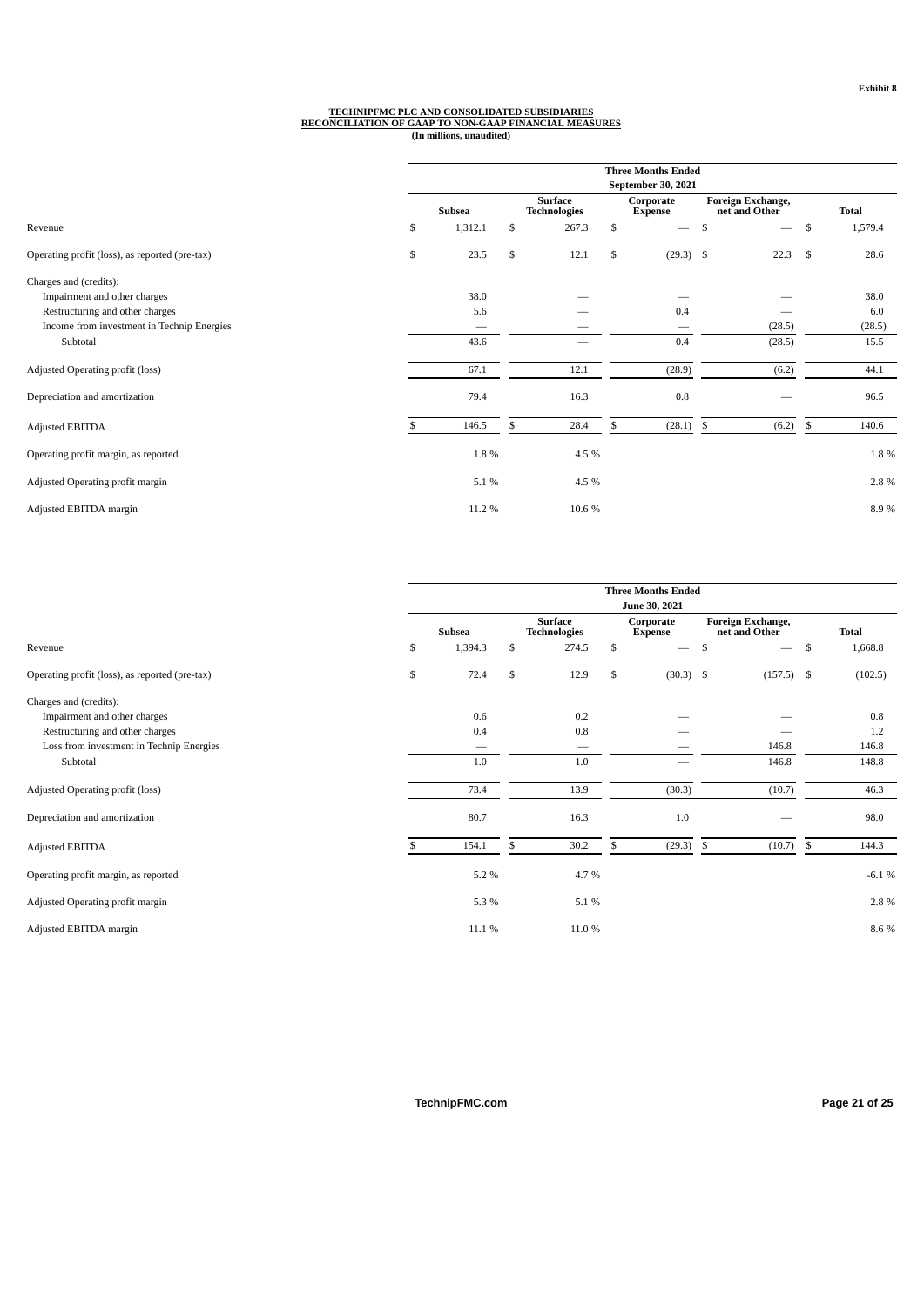# TECHNIPFMC PLC AND CONSOLIDATED SUBSIDIARIES<br>RECONCILIATION OF GAAP TO NON-GAAP FINANCIAL MEASURES<br>(In millions, unaudited)

|                                                |               |                                       |     | <b>Three Months Ended</b><br>September 30, 2021 |                                           |     |              |
|------------------------------------------------|---------------|---------------------------------------|-----|-------------------------------------------------|-------------------------------------------|-----|--------------|
|                                                | <b>Subsea</b> | <b>Surface</b><br><b>Technologies</b> |     | Corporate<br><b>Expense</b>                     | <b>Foreign Exchange,</b><br>net and Other |     | <b>Total</b> |
| Revenue                                        | \$<br>1,312.1 | \$<br>267.3                           | \$  | $\overline{\phantom{0}}$                        | \$<br>$\overline{\phantom{0}}$            | \$  | 1,579.4      |
| Operating profit (loss), as reported (pre-tax) | \$<br>23.5    | \$<br>12.1                            | \$  | $(29.3)$ \$                                     | 22.3                                      | -\$ | 28.6         |
| Charges and (credits):                         |               |                                       |     |                                                 |                                           |     |              |
| Impairment and other charges                   | 38.0          |                                       |     |                                                 |                                           |     | 38.0         |
| Restructuring and other charges                | 5.6           |                                       |     | 0.4                                             |                                           |     | 6.0          |
| Income from investment in Technip Energies     |               |                                       |     |                                                 | (28.5)                                    |     | (28.5)       |
| Subtotal                                       | 43.6          |                                       |     | 0.4                                             | (28.5)                                    |     | 15.5         |
| Adjusted Operating profit (loss)               | 67.1          | 12.1                                  |     | (28.9)                                          | (6.2)                                     |     | 44.1         |
| Depreciation and amortization                  | 79.4          | 16.3                                  |     | 0.8                                             |                                           |     | 96.5         |
| Adjusted EBITDA                                | 146.5         | \$<br>28.4                            | \$. | (28.1)                                          | \$<br>(6.2)                               | \$  | 140.6        |
| Operating profit margin, as reported           | 1.8%          | 4.5 %                                 |     |                                                 |                                           |     | 1.8%         |
| Adjusted Operating profit margin               | 5.1%          | 4.5 %                                 |     |                                                 |                                           |     | 2.8%         |
| Adjusted EBITDA margin                         | 11.2 %        | 10.6%                                 |     |                                                 |                                           |     | 8.9%         |

|                                                |               |                                       |    | <b>Three Months Ended</b><br>June 30, 2021 |      |                                    |               |
|------------------------------------------------|---------------|---------------------------------------|----|--------------------------------------------|------|------------------------------------|---------------|
|                                                | Subsea        | <b>Surface</b><br><b>Technologies</b> |    | Corporate<br><b>Expense</b>                |      | Foreign Exchange,<br>net and Other | <b>Total</b>  |
| Revenue                                        | \$<br>1,394.3 | \$<br>274.5                           | \$ | $\overline{\phantom{m}}$                   | \$   | $\overline{\phantom{m}}$           | \$<br>1,668.8 |
| Operating profit (loss), as reported (pre-tax) | \$<br>72.4    | \$<br>12.9                            | \$ | $(30.3)$ \$                                |      | $(157.5)$ \$                       | (102.5)       |
| Charges and (credits):                         |               |                                       |    |                                            |      |                                    |               |
| Impairment and other charges                   | 0.6           | 0.2                                   |    |                                            |      |                                    | 0.8           |
| Restructuring and other charges                | 0.4           | 0.8                                   |    |                                            |      |                                    | 1.2           |
| Loss from investment in Technip Energies       | –             | $\overbrace{\phantom{aaaaa}}$         |    |                                            |      | 146.8                              | 146.8         |
| Subtotal                                       | 1.0           | 1.0                                   |    | $\hspace{0.05cm}$                          |      | 146.8                              | 148.8         |
| Adjusted Operating profit (loss)               | 73.4          | 13.9                                  |    | (30.3)                                     |      | (10.7)                             | 46.3          |
| Depreciation and amortization                  | 80.7          | 16.3                                  |    | 1.0                                        |      |                                    | 98.0          |
| Adjusted EBITDA                                | 154.1         | \$<br>30.2                            | .S | (29.3)                                     | - \$ | (10.7)                             | \$<br>144.3   |
| Operating profit margin, as reported           | 5.2%          | 4.7%                                  |    |                                            |      |                                    | $-6.1 \%$     |
| Adjusted Operating profit margin               | 5.3%          | 5.1 %                                 |    |                                            |      |                                    | 2.8%          |
| Adjusted EBITDA margin                         | 11.1 %        | 11.0%                                 |    |                                            |      |                                    | 8.6 %         |
|                                                |               |                                       |    |                                            |      |                                    |               |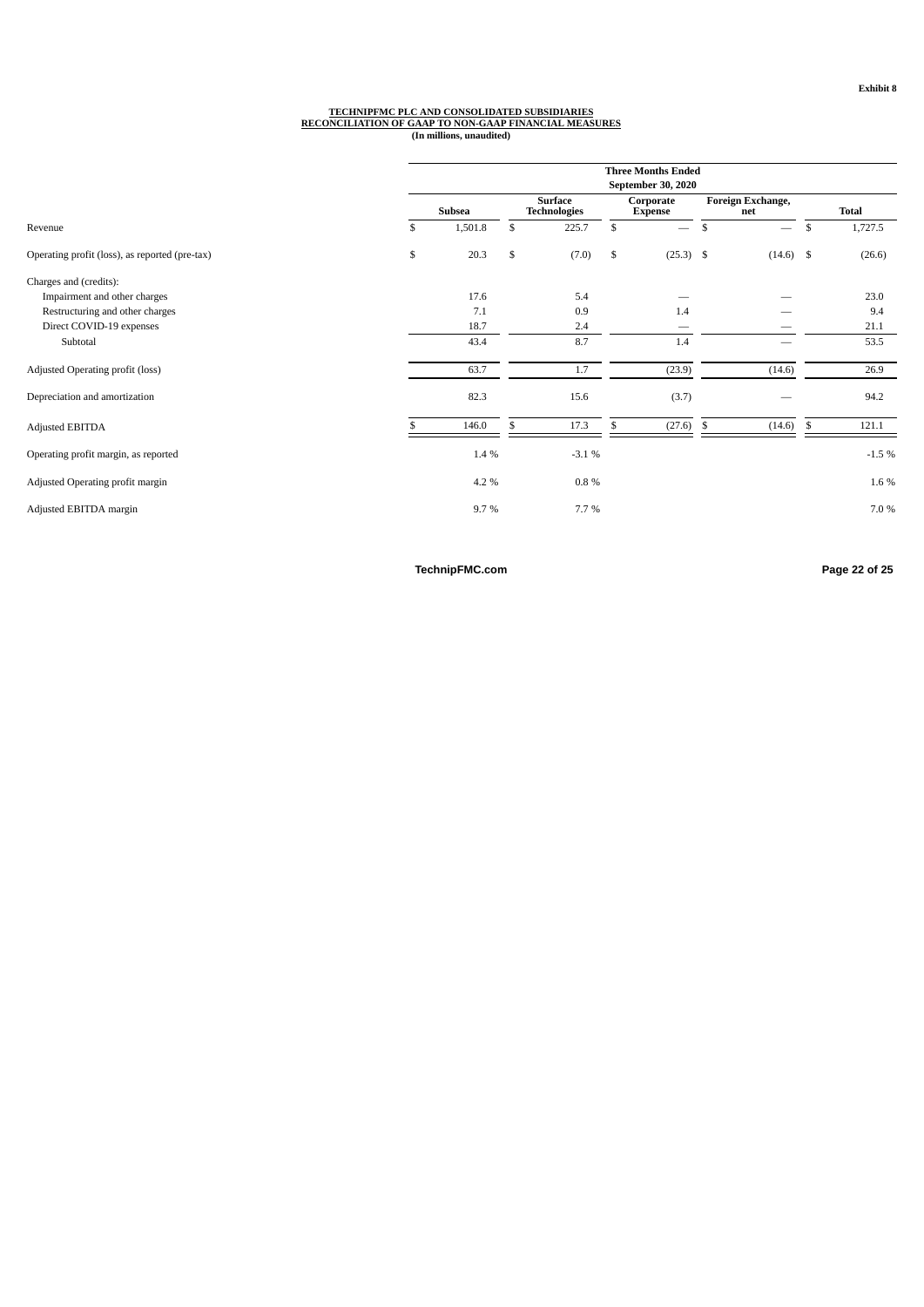# TECHNIPFMC PLC AND CONSOLIDATED SUBSIDIARIES<br>RECONCILIATION OF GAAP TO NON-GAAP FINANCIAL MEASURES<br>(In millions, unaudited)

|                                                | <b>Three Months Ended</b><br>September 30, 2020 |               |     |                                       |    |                             |      |                          |     |              |  |  |  |
|------------------------------------------------|-------------------------------------------------|---------------|-----|---------------------------------------|----|-----------------------------|------|--------------------------|-----|--------------|--|--|--|
|                                                |                                                 | <b>Subsea</b> |     | <b>Surface</b><br><b>Technologies</b> |    | Corporate<br><b>Expense</b> |      | Foreign Exchange,<br>net |     | <b>Total</b> |  |  |  |
| Revenue                                        | \$                                              | 1,501.8       | \$  | 225.7                                 | \$ | $\overline{\phantom{m}}$    | \$   | $\overline{\phantom{m}}$ | \$  | 1,727.5      |  |  |  |
| Operating profit (loss), as reported (pre-tax) | \$                                              | 20.3          | \$  | (7.0)                                 | \$ | $(25.3)$ \$                 |      | $(14.6)$ \$              |     | (26.6)       |  |  |  |
| Charges and (credits):                         |                                                 |               |     |                                       |    |                             |      |                          |     |              |  |  |  |
| Impairment and other charges                   |                                                 | 17.6          |     | 5.4                                   |    |                             |      |                          |     | 23.0         |  |  |  |
| Restructuring and other charges                |                                                 | 7.1           |     | 0.9                                   |    | 1.4                         |      |                          |     | 9.4          |  |  |  |
| Direct COVID-19 expenses                       |                                                 | 18.7          |     | 2.4                                   |    | $\sim$                      |      |                          |     | 21.1         |  |  |  |
| Subtotal                                       |                                                 | 43.4          |     | 8.7                                   |    | 1.4                         |      |                          |     | 53.5         |  |  |  |
| Adjusted Operating profit (loss)               |                                                 | 63.7          |     | 1.7                                   |    | (23.9)                      |      | (14.6)                   |     | 26.9         |  |  |  |
| Depreciation and amortization                  |                                                 | 82.3          |     | 15.6                                  |    | (3.7)                       |      |                          |     | 94.2         |  |  |  |
| <b>Adjusted EBITDA</b>                         |                                                 | 146.0         | \$. | 17.3                                  | \$ | (27.6)                      | - \$ | (14.6)                   | -\$ | 121.1        |  |  |  |
| Operating profit margin, as reported           |                                                 | 1.4 %         |     | $-3.1%$                               |    |                             |      |                          |     | $-1.5%$      |  |  |  |
| Adjusted Operating profit margin               |                                                 | 4.2 %         |     | $0.8\%$                               |    |                             |      |                          |     | 1.6 %        |  |  |  |
| Adjusted EBITDA margin                         |                                                 | 9.7%          |     | 7.7%                                  |    |                             |      |                          |     | 7.0 %        |  |  |  |

**TechnipFMC.com Page 22 of [25](#page-27-0)**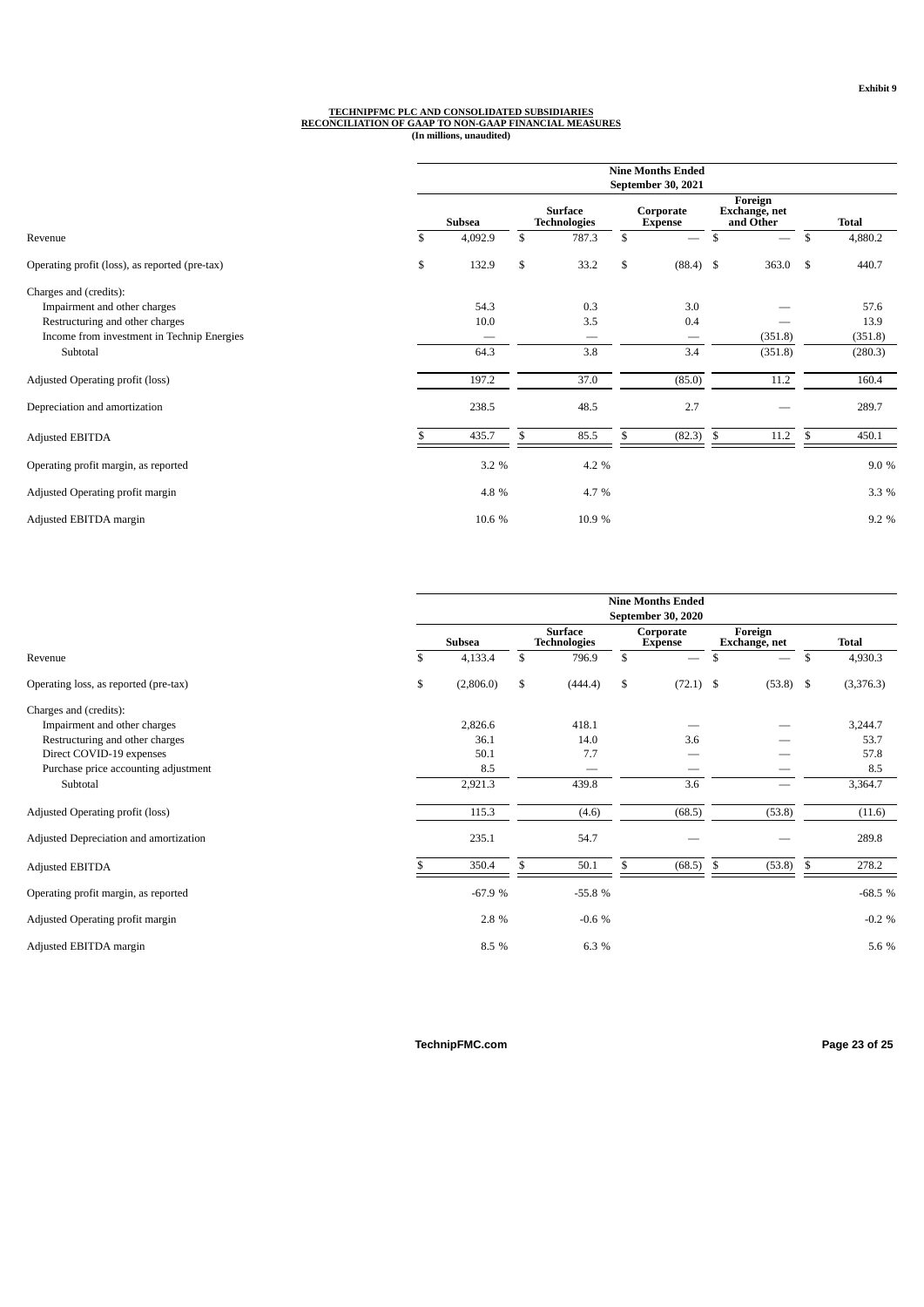## TECHNIPFMC PLC AND CONSOLIDATED SUBSIDIARIES<br>RECONCILIATION OF GAAP TO NON-GAAP FINANCIAL MEASURES<br>(In millions, unaudited)

|                                                |               |                                       | <b>Nine Months Ended</b><br>September 30, 2021 |                                       |               |
|------------------------------------------------|---------------|---------------------------------------|------------------------------------------------|---------------------------------------|---------------|
|                                                | <b>Subsea</b> | <b>Surface</b><br><b>Technologies</b> | Corporate<br><b>Expense</b>                    | Foreign<br>Exchange, net<br>and Other | <b>Total</b>  |
| Revenue                                        | \$<br>4,092.9 | \$<br>787.3                           | \$<br>$\overline{\phantom{m}}$                 | \$                                    | \$<br>4,880.2 |
| Operating profit (loss), as reported (pre-tax) | \$<br>132.9   | \$<br>33.2                            | \$<br>$(88.4)$ \$                              | $363.0$ \$                            | 440.7         |
| Charges and (credits):                         |               |                                       |                                                |                                       |               |
| Impairment and other charges                   | 54.3          | 0.3                                   | 3.0                                            |                                       | 57.6          |
| Restructuring and other charges                | 10.0          | 3.5                                   | 0.4                                            |                                       | 13.9          |
| Income from investment in Technip Energies     |               | —                                     |                                                | (351.8)                               | (351.8)       |
| Subtotal                                       | 64.3          | 3.8                                   | 3.4                                            | (351.8)                               | (280.3)       |
| Adjusted Operating profit (loss)               | 197.2         | 37.0                                  | (85.0)                                         | 11.2                                  | 160.4         |
| Depreciation and amortization                  | 238.5         | 48.5                                  | 2.7                                            |                                       | 289.7         |
| Adjusted EBITDA                                | 435.7         | 85.5                                  | (82.3)                                         | \$<br>11.2                            | \$<br>450.1   |
| Operating profit margin, as reported           | 3.2 %         | 4.2 %                                 |                                                |                                       | 9.0 %         |
| Adjusted Operating profit margin               | 4.8%          | 4.7%                                  |                                                |                                       | 3.3 %         |
| Adjusted EBITDA margin                         | 10.6 %        | 10.9%                                 |                                                |                                       | 9.2 %         |

|                                        | <b>Nine Months Ended</b><br>September 30, 2020 |               |    |                                       |    |                             |    |                          |    |              |  |  |
|----------------------------------------|------------------------------------------------|---------------|----|---------------------------------------|----|-----------------------------|----|--------------------------|----|--------------|--|--|
|                                        |                                                | <b>Subsea</b> |    | <b>Surface</b><br><b>Technologies</b> |    | Corporate<br><b>Expense</b> |    | Foreign<br>Exchange, net |    | <b>Total</b> |  |  |
| Revenue                                | \$                                             | 4,133.4       | \$ | 796.9                                 | \$ | $\overline{\phantom{m}}$    | \$ |                          | \$ | 4,930.3      |  |  |
| Operating loss, as reported (pre-tax)  | \$                                             | (2,806.0)     | \$ | (444.4)                               | \$ | $(72.1)$ \$                 |    | $(53.8)$ \$              |    | (3,376.3)    |  |  |
| Charges and (credits):                 |                                                |               |    |                                       |    |                             |    |                          |    |              |  |  |
| Impairment and other charges           |                                                | 2,826.6       |    | 418.1                                 |    |                             |    |                          |    | 3,244.7      |  |  |
| Restructuring and other charges        |                                                | 36.1          |    | 14.0                                  |    | 3.6                         |    |                          |    | 53.7         |  |  |
| Direct COVID-19 expenses               |                                                | 50.1          |    | 7.7                                   |    |                             |    |                          |    | 57.8         |  |  |
| Purchase price accounting adjustment   |                                                | 8.5           |    |                                       |    |                             |    |                          |    | 8.5          |  |  |
| Subtotal                               |                                                | 2,921.3       |    | 439.8                                 |    | 3.6                         |    |                          |    | 3,364.7      |  |  |
| Adjusted Operating profit (loss)       |                                                | 115.3         |    | (4.6)                                 |    | (68.5)                      |    | (53.8)                   |    | (11.6)       |  |  |
| Adjusted Depreciation and amortization |                                                | 235.1         |    | 54.7                                  |    |                             |    |                          |    | 289.8        |  |  |
| Adjusted EBITDA                        |                                                | 350.4         | \$ | 50.1                                  | S  | (68.5)                      | -S | (53.8)                   | \$ | 278.2        |  |  |
| Operating profit margin, as reported   |                                                | $-67.9%$      |    | $-55.8%$                              |    |                             |    |                          |    | $-68.5%$     |  |  |
| Adjusted Operating profit margin       |                                                | 2.8%          |    | $-0.6%$                               |    |                             |    |                          |    | $-0.2 \%$    |  |  |
| Adjusted EBITDA margin                 |                                                | 8.5 %         |    | 6.3%                                  |    |                             |    |                          |    | 5.6 %        |  |  |

**TechnipFMC.com Page 23 of [25](#page-27-0)**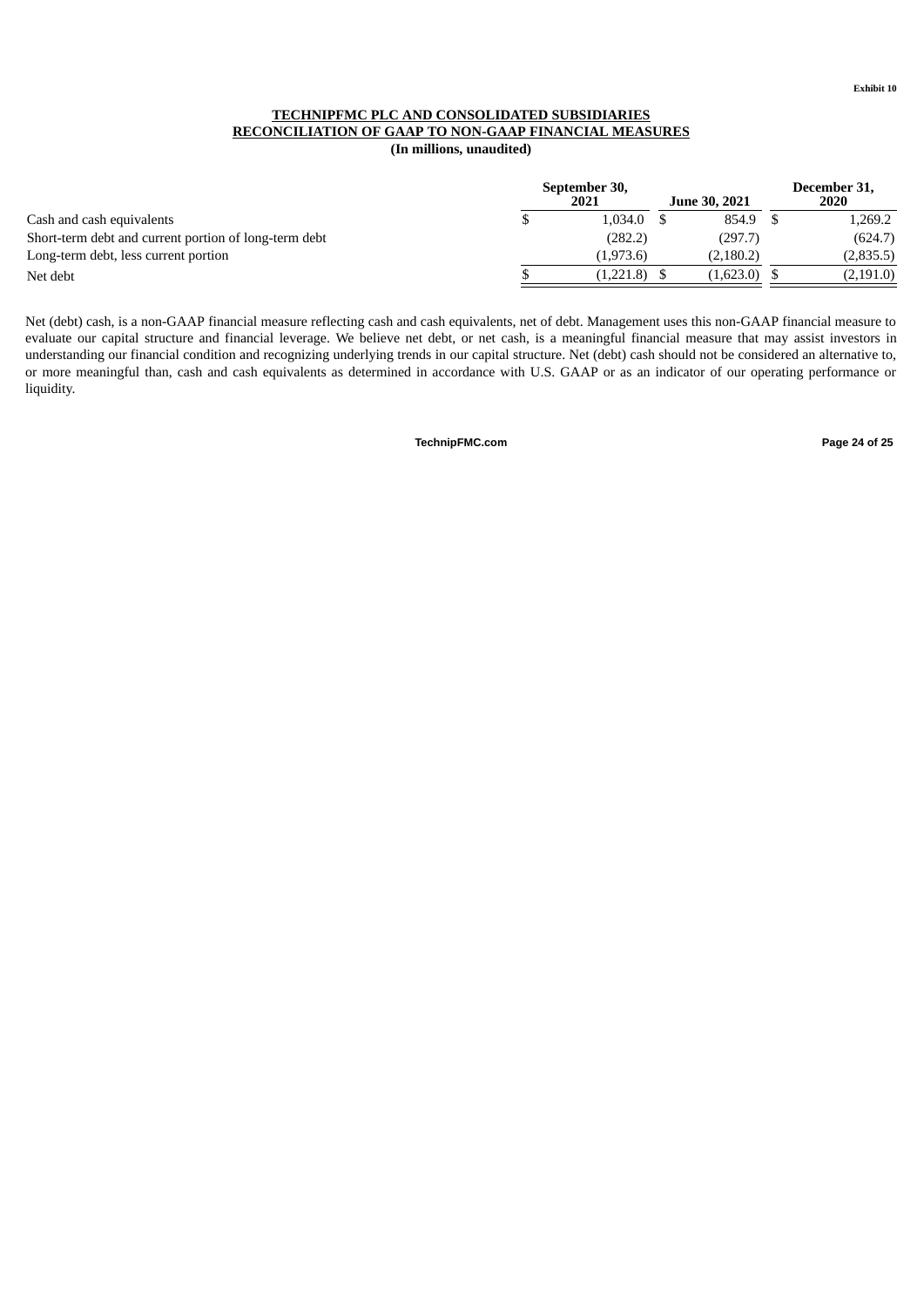### **TECHNIPFMC PLC AND CONSOLIDATED SUBSIDIARIES RECONCILIATION OF GAAP TO NON-GAAP FINANCIAL MEASURES (In millions, unaudited)**

|                                                       | September 30,<br>2021 | <b>June 30, 2021</b> | December 31,<br>2020 |
|-------------------------------------------------------|-----------------------|----------------------|----------------------|
| Cash and cash equivalents                             | 1.034.0               | 854.9                | 1.269.2              |
| Short-term debt and current portion of long-term debt | (282.2)               | (297.7)              | (624.7)              |
| Long-term debt, less current portion                  | (1,973.6)             | (2, 180.2)           | (2,835.5)            |
| Net debt                                              | $(1,221.8)$ \$        | (1,623.0)            | (2, 191.0)           |

<span id="page-27-0"></span>Net (debt) cash, is a non-GAAP financial measure reflecting cash and cash equivalents, net of debt. Management uses this non-GAAP financial measure to evaluate our capital structure and financial leverage. We believe net debt, or net cash, is a meaningful financial measure that may assist investors in understanding our financial condition and recognizing underlying trends in our capital structure. Net (debt) cash should not be considered an alternative to, or more meaningful than, cash and cash equivalents as determined in accordance with U.S. GAAP or as an indicator of our operating performance or liquidity.

**TechnipFMC.com Page 24 of [25](#page-27-0)**